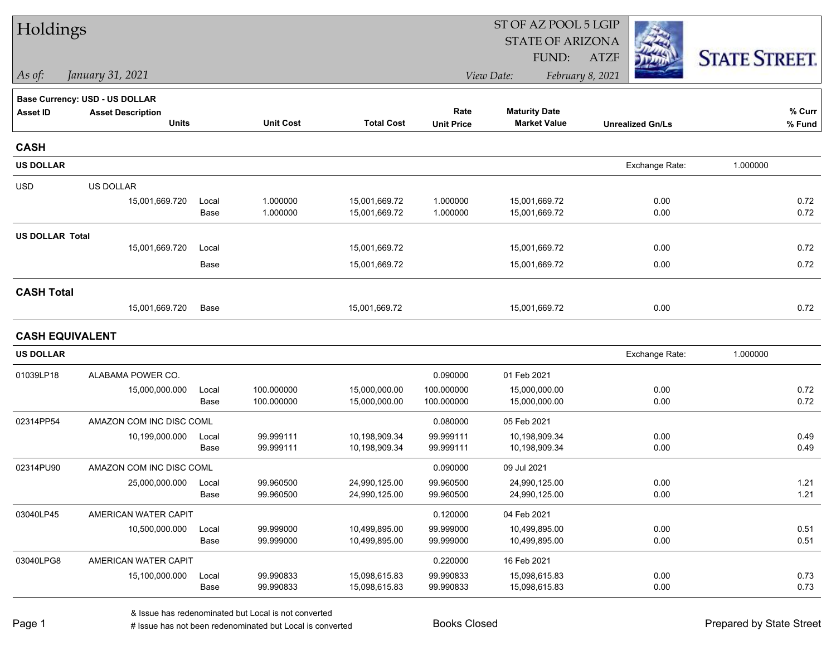| Holdings               |                                |       |                  |                   | ST OF AZ POOL 5 LGIP |                         |                         |                      |  |  |
|------------------------|--------------------------------|-------|------------------|-------------------|----------------------|-------------------------|-------------------------|----------------------|--|--|
|                        |                                |       |                  |                   |                      | <b>STATE OF ARIZONA</b> |                         |                      |  |  |
|                        |                                |       |                  |                   |                      | FUND:                   | <b>ATZF</b>             | <b>STATE STREET.</b> |  |  |
| As of:                 | January 31, 2021               |       |                  |                   |                      | View Date:              | February 8, 2021        |                      |  |  |
|                        | Base Currency: USD - US DOLLAR |       |                  |                   |                      |                         |                         |                      |  |  |
| <b>Asset ID</b>        | <b>Asset Description</b>       |       |                  |                   | Rate                 | <b>Maturity Date</b>    |                         | % Curr               |  |  |
|                        | <b>Units</b>                   |       | <b>Unit Cost</b> | <b>Total Cost</b> | <b>Unit Price</b>    | <b>Market Value</b>     | <b>Unrealized Gn/Ls</b> | % Fund               |  |  |
| <b>CASH</b>            |                                |       |                  |                   |                      |                         |                         |                      |  |  |
| <b>US DOLLAR</b>       |                                |       |                  |                   |                      |                         | Exchange Rate:          | 1.000000             |  |  |
| <b>USD</b>             | US DOLLAR                      |       |                  |                   |                      |                         |                         |                      |  |  |
|                        | 15,001,669.720                 | Local | 1.000000         | 15,001,669.72     | 1.000000             | 15,001,669.72           | 0.00                    | 0.72                 |  |  |
|                        |                                | Base  | 1.000000         | 15,001,669.72     | 1.000000             | 15,001,669.72           | 0.00                    | 0.72                 |  |  |
| <b>US DOLLAR Total</b> |                                |       |                  |                   |                      |                         |                         |                      |  |  |
|                        | 15,001,669.720                 | Local |                  | 15,001,669.72     |                      | 15,001,669.72           | 0.00                    | 0.72                 |  |  |
|                        |                                | Base  |                  | 15,001,669.72     |                      | 15,001,669.72           | 0.00                    | 0.72                 |  |  |
| <b>CASH Total</b>      |                                |       |                  |                   |                      |                         |                         |                      |  |  |
|                        | 15,001,669.720                 | Base  |                  | 15,001,669.72     |                      | 15,001,669.72           | 0.00                    | 0.72                 |  |  |
|                        | <b>CASH EQUIVALENT</b>         |       |                  |                   |                      |                         |                         |                      |  |  |
| <b>US DOLLAR</b>       |                                |       |                  |                   |                      |                         | Exchange Rate:          | 1.000000             |  |  |
| 01039LP18              | ALABAMA POWER CO.              |       |                  |                   | 0.090000             | 01 Feb 2021             |                         |                      |  |  |
|                        | 15,000,000.000                 | Local | 100.000000       | 15,000,000.00     | 100.000000           | 15,000,000.00           | 0.00                    | 0.72                 |  |  |
|                        |                                | Base  | 100.000000       | 15,000,000.00     | 100.000000           | 15,000,000.00           | 0.00                    | 0.72                 |  |  |
| 02314PP54              | AMAZON COM INC DISC COML       |       |                  |                   | 0.080000             | 05 Feb 2021             |                         |                      |  |  |
|                        | 10,199,000.000                 | Local | 99.999111        | 10,198,909.34     | 99.999111            | 10,198,909.34           | 0.00                    | 0.49                 |  |  |
|                        |                                | Base  | 99.999111        | 10,198,909.34     | 99.999111            | 10,198,909.34           | 0.00                    | 0.49                 |  |  |
| 02314PU90              | AMAZON COM INC DISC COML       |       |                  |                   | 0.090000             | 09 Jul 2021             |                         |                      |  |  |
|                        | 25,000,000.000                 | Local | 99.960500        | 24,990,125.00     | 99.960500            | 24,990,125.00           | 0.00                    | 1.21                 |  |  |
|                        |                                | Base  | 99.960500        | 24,990,125.00     | 99.960500            | 24,990,125.00           | 0.00                    | 1.21                 |  |  |
| 03040LP45              | AMERICAN WATER CAPIT           |       |                  |                   | 0.120000             | 04 Feb 2021             |                         |                      |  |  |
|                        | 10,500,000.000                 | Local | 99.999000        | 10,499,895.00     | 99.999000            | 10,499,895.00           | 0.00                    | 0.51                 |  |  |
|                        |                                | Base  | 99.999000        | 10,499,895.00     | 99.999000            | 10,499,895.00           | 0.00                    | 0.51                 |  |  |
| 03040LPG8              | AMERICAN WATER CAPIT           |       |                  |                   | 0.220000             | 16 Feb 2021             |                         |                      |  |  |
|                        | 15,100,000.000                 | Local | 99.990833        | 15,098,615.83     | 99.990833            | 15,098,615.83           | 0.00                    | 0.73                 |  |  |
|                        |                                | Base  | 99.990833        | 15,098,615.83     | 99.990833            | 15,098,615.83           | 0.00                    | 0.73                 |  |  |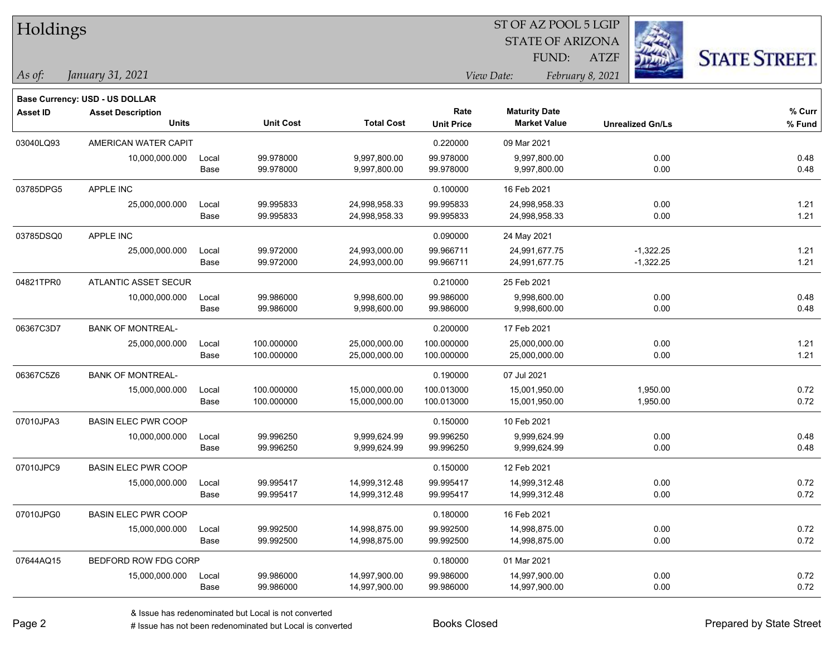| Holdings        |                                       |       |                  | ST OF AZ POOL 5 LGIP |                   |                         |                         |                      |  |
|-----------------|---------------------------------------|-------|------------------|----------------------|-------------------|-------------------------|-------------------------|----------------------|--|
|                 |                                       |       |                  |                      |                   | <b>STATE OF ARIZONA</b> |                         |                      |  |
|                 |                                       |       |                  |                      |                   | FUND:                   | <b>ATZF</b>             | <b>STATE STREET.</b> |  |
| As of:          | January 31, 2021                      |       |                  |                      |                   | View Date:              | February 8, 2021        |                      |  |
|                 | <b>Base Currency: USD - US DOLLAR</b> |       |                  |                      |                   |                         |                         |                      |  |
| <b>Asset ID</b> | <b>Asset Description</b>              |       |                  |                      | Rate              | <b>Maturity Date</b>    |                         | % Curr               |  |
|                 | <b>Units</b>                          |       | <b>Unit Cost</b> | <b>Total Cost</b>    | <b>Unit Price</b> | <b>Market Value</b>     | <b>Unrealized Gn/Ls</b> | % Fund               |  |
| 03040LQ93       | AMERICAN WATER CAPIT                  |       |                  |                      | 0.220000          | 09 Mar 2021             |                         |                      |  |
|                 | 10,000,000.000                        | Local | 99.978000        | 9,997,800.00         | 99.978000         | 9,997,800.00            | 0.00                    | 0.48                 |  |
|                 |                                       | Base  | 99.978000        | 9,997,800.00         | 99.978000         | 9,997,800.00            | 0.00                    | 0.48                 |  |
| 03785DPG5       | APPLE INC                             |       |                  |                      | 0.100000          | 16 Feb 2021             |                         |                      |  |
|                 | 25,000,000.000                        | Local | 99.995833        | 24,998,958.33        | 99.995833         | 24,998,958.33           | 0.00                    | 1.21                 |  |
|                 |                                       | Base  | 99.995833        | 24,998,958.33        | 99.995833         | 24,998,958.33           | 0.00                    | 1.21                 |  |
| 03785DSQ0       | <b>APPLE INC</b>                      |       |                  |                      | 0.090000          | 24 May 2021             |                         |                      |  |
|                 | 25,000,000.000                        | Local | 99.972000        | 24,993,000.00        | 99.966711         | 24,991,677.75           | $-1,322.25$             | 1.21                 |  |
|                 |                                       | Base  | 99.972000        | 24,993,000.00        | 99.966711         | 24,991,677.75           | $-1,322.25$             | 1.21                 |  |
| 04821TPR0       | ATLANTIC ASSET SECUR                  |       |                  |                      | 0.210000          | 25 Feb 2021             |                         |                      |  |
|                 | 10,000,000.000                        | Local | 99.986000        | 9,998,600.00         | 99.986000         | 9,998,600.00            | 0.00                    | 0.48                 |  |
|                 |                                       | Base  | 99.986000        | 9,998,600.00         | 99.986000         | 9,998,600.00            | 0.00                    | 0.48                 |  |
| 06367C3D7       | <b>BANK OF MONTREAL-</b>              |       |                  |                      | 0.200000          | 17 Feb 2021             |                         |                      |  |
|                 | 25,000,000.000                        | Local | 100.000000       | 25,000,000.00        | 100.000000        | 25,000,000.00           | 0.00                    | 1.21                 |  |
|                 |                                       | Base  | 100.000000       | 25,000,000.00        | 100.000000        | 25,000,000.00           | 0.00                    | 1.21                 |  |
| 06367C5Z6       | <b>BANK OF MONTREAL-</b>              |       |                  |                      | 0.190000          | 07 Jul 2021             |                         |                      |  |
|                 | 15,000,000.000                        | Local | 100.000000       | 15,000,000.00        | 100.013000        | 15,001,950.00           | 1,950.00                | 0.72                 |  |
|                 |                                       | Base  | 100.000000       | 15,000,000.00        | 100.013000        | 15,001,950.00           | 1,950.00                | 0.72                 |  |
| 07010JPA3       | <b>BASIN ELEC PWR COOP</b>            |       |                  |                      | 0.150000          | 10 Feb 2021             |                         |                      |  |
|                 | 10,000,000.000                        | Local | 99.996250        | 9,999,624.99         | 99.996250         | 9,999,624.99            | 0.00                    | 0.48                 |  |
|                 |                                       | Base  | 99.996250        | 9,999,624.99         | 99.996250         | 9,999,624.99            | 0.00                    | 0.48                 |  |
| 07010JPC9       | <b>BASIN ELEC PWR COOP</b>            |       |                  |                      | 0.150000          | 12 Feb 2021             |                         |                      |  |
|                 | 15,000,000.000                        | Local | 99.995417        | 14,999,312.48        | 99.995417         | 14,999,312.48           | 0.00                    | 0.72                 |  |
|                 |                                       | Base  | 99.995417        | 14,999,312.48        | 99.995417         | 14,999,312.48           | 0.00                    | 0.72                 |  |
| 07010JPG0       | <b>BASIN ELEC PWR COOP</b>            |       |                  |                      | 0.180000          | 16 Feb 2021             |                         |                      |  |
|                 | 15,000,000.000                        | Local | 99.992500        | 14,998,875.00        | 99.992500         | 14,998,875.00           | 0.00                    | 0.72                 |  |
|                 |                                       | Base  | 99.992500        | 14,998,875.00        | 99.992500         | 14,998,875.00           | 0.00                    | 0.72                 |  |
| 07644AQ15       | BEDFORD ROW FDG CORP                  |       |                  |                      | 0.180000          | 01 Mar 2021             |                         |                      |  |
|                 | 15,000,000.000                        | Local | 99.986000        | 14,997,900.00        | 99.986000         | 14,997,900.00           | 0.00                    | 0.72                 |  |
|                 |                                       | Base  | 99.986000        | 14,997,900.00        | 99.986000         | 14,997,900.00           | 0.00                    | 0.72                 |  |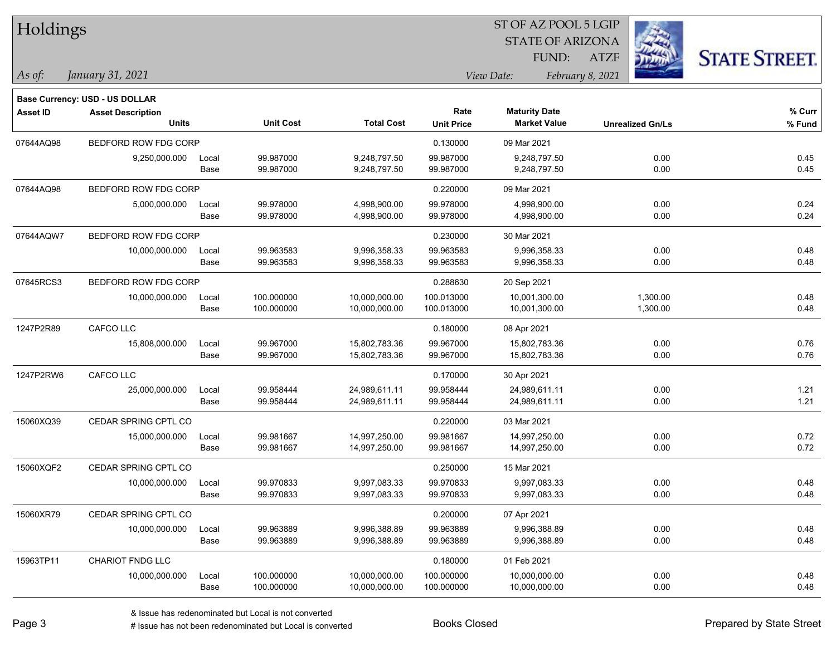| Holdings        |                                       |       |                  | ST OF AZ POOL 5 LGIP |                   |                         |                         |                      |  |
|-----------------|---------------------------------------|-------|------------------|----------------------|-------------------|-------------------------|-------------------------|----------------------|--|
|                 |                                       |       |                  |                      |                   | <b>STATE OF ARIZONA</b> |                         |                      |  |
|                 |                                       |       |                  |                      |                   | FUND:                   | <b>ATZF</b>             | <b>STATE STREET.</b> |  |
| As of:          | January 31, 2021                      |       |                  |                      |                   | View Date:              | February 8, 2021        |                      |  |
|                 | <b>Base Currency: USD - US DOLLAR</b> |       |                  |                      |                   |                         |                         |                      |  |
| <b>Asset ID</b> | <b>Asset Description</b>              |       |                  |                      | Rate              | <b>Maturity Date</b>    |                         | % Curr               |  |
|                 | <b>Units</b>                          |       | <b>Unit Cost</b> | <b>Total Cost</b>    | <b>Unit Price</b> | <b>Market Value</b>     | <b>Unrealized Gn/Ls</b> | % Fund               |  |
| 07644AQ98       | BEDFORD ROW FDG CORP                  |       |                  |                      | 0.130000          | 09 Mar 2021             |                         |                      |  |
|                 | 9,250,000.000                         | Local | 99.987000        | 9,248,797.50         | 99.987000         | 9,248,797.50            |                         | 0.45<br>0.00         |  |
|                 |                                       | Base  | 99.987000        | 9,248,797.50         | 99.987000         | 9,248,797.50            |                         | 0.45<br>0.00         |  |
| 07644AQ98       | BEDFORD ROW FDG CORP                  |       |                  |                      | 0.220000          | 09 Mar 2021             |                         |                      |  |
|                 | 5,000,000.000                         | Local | 99.978000        | 4,998,900.00         | 99.978000         | 4,998,900.00            |                         | 0.24<br>0.00         |  |
|                 |                                       | Base  | 99.978000        | 4,998,900.00         | 99.978000         | 4,998,900.00            |                         | 0.24<br>0.00         |  |
| 07644AQW7       | BEDFORD ROW FDG CORP                  |       |                  |                      | 0.230000          | 30 Mar 2021             |                         |                      |  |
|                 | 10,000,000.000                        | Local | 99.963583        | 9,996,358.33         | 99.963583         | 9,996,358.33            |                         | 0.48<br>0.00         |  |
|                 |                                       | Base  | 99.963583        | 9,996,358.33         | 99.963583         | 9,996,358.33            |                         | 0.48<br>0.00         |  |
| 07645RCS3       | BEDFORD ROW FDG CORP                  |       |                  |                      | 0.288630          | 20 Sep 2021             |                         |                      |  |
|                 | 10,000,000.000                        | Local | 100.000000       | 10,000,000.00        | 100.013000        | 10,001,300.00           | 1,300.00                | 0.48                 |  |
|                 |                                       | Base  | 100.000000       | 10,000,000.00        | 100.013000        | 10,001,300.00           | 1,300.00                | 0.48                 |  |
| 1247P2R89       | CAFCO LLC                             |       |                  |                      | 0.180000          | 08 Apr 2021             |                         |                      |  |
|                 | 15,808,000.000                        | Local | 99.967000        | 15,802,783.36        | 99.967000         | 15,802,783.36           |                         | 0.76<br>0.00         |  |
|                 |                                       | Base  | 99.967000        | 15,802,783.36        | 99.967000         | 15,802,783.36           |                         | 0.76<br>0.00         |  |
| 1247P2RW6       | CAFCO LLC                             |       |                  |                      | 0.170000          | 30 Apr 2021             |                         |                      |  |
|                 | 25,000,000.000                        | Local | 99.958444        | 24,989,611.11        | 99.958444         | 24,989,611.11           |                         | 1.21<br>0.00         |  |
|                 |                                       | Base  | 99.958444        | 24,989,611.11        | 99.958444         | 24,989,611.11           |                         | 1.21<br>0.00         |  |
| 15060XQ39       | CEDAR SPRING CPTL CO                  |       |                  |                      | 0.220000          | 03 Mar 2021             |                         |                      |  |
|                 | 15,000,000.000                        | Local | 99.981667        | 14,997,250.00        | 99.981667         | 14,997,250.00           |                         | 0.00<br>0.72         |  |
|                 |                                       | Base  | 99.981667        | 14,997,250.00        | 99.981667         | 14,997,250.00           |                         | 0.00<br>0.72         |  |
| 15060XQF2       | CEDAR SPRING CPTL CO                  |       |                  |                      | 0.250000          | 15 Mar 2021             |                         |                      |  |
|                 | 10,000,000.000                        | Local | 99.970833        | 9,997,083.33         | 99.970833         | 9,997,083.33            |                         | 0.00<br>0.48         |  |
|                 |                                       | Base  | 99.970833        | 9,997,083.33         | 99.970833         | 9,997,083.33            |                         | 0.48<br>0.00         |  |
| 15060XR79       | CEDAR SPRING CPTL CO                  |       |                  |                      | 0.200000          | 07 Apr 2021             |                         |                      |  |
|                 | 10,000,000.000                        | Local | 99.963889        | 9,996,388.89         | 99.963889         | 9,996,388.89            |                         | 0.00<br>0.48         |  |
|                 |                                       | Base  | 99.963889        | 9,996,388.89         | 99.963889         | 9,996,388.89            |                         | 0.48<br>0.00         |  |
| 15963TP11       | CHARIOT FNDG LLC                      |       |                  |                      | 0.180000          | 01 Feb 2021             |                         |                      |  |
|                 | 10,000,000.000                        | Local | 100.000000       | 10,000,000.00        | 100.000000        | 10,000,000.00           |                         | 0.00<br>0.48         |  |
|                 |                                       | Base  | 100.000000       | 10,000,000.00        | 100.000000        | 10,000,000.00           |                         | 0.00<br>0.48         |  |

denote the redenominated but Local is converted Books Closed Prepared by State Street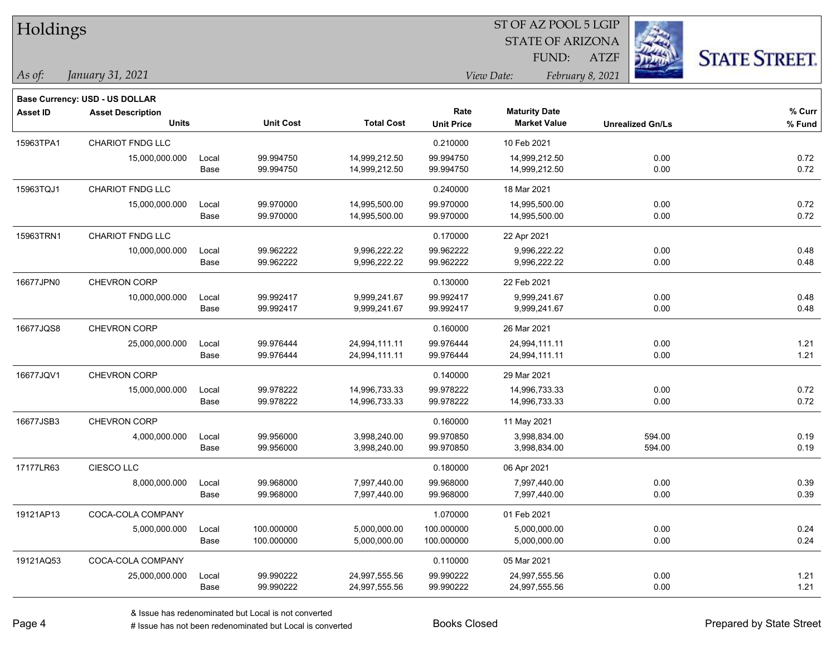| Holdings        |                                       |       |                  |                   | ST OF AZ POOL 5 LGIP           |                         |                         |                     |  |  |
|-----------------|---------------------------------------|-------|------------------|-------------------|--------------------------------|-------------------------|-------------------------|---------------------|--|--|
|                 |                                       |       |                  |                   |                                | <b>STATE OF ARIZONA</b> |                         |                     |  |  |
|                 |                                       |       |                  |                   |                                | FUND:                   | <b>ATZF</b>             | <b>STATE STREET</b> |  |  |
| As of:          | January 31, 2021                      |       |                  |                   | View Date:<br>February 8, 2021 |                         |                         |                     |  |  |
|                 | <b>Base Currency: USD - US DOLLAR</b> |       |                  |                   |                                |                         |                         |                     |  |  |
| <b>Asset ID</b> | <b>Asset Description</b>              |       |                  |                   | Rate                           | <b>Maturity Date</b>    |                         | % Curr              |  |  |
|                 | <b>Units</b>                          |       | <b>Unit Cost</b> | <b>Total Cost</b> | <b>Unit Price</b>              | <b>Market Value</b>     | <b>Unrealized Gn/Ls</b> | % Fund              |  |  |
| 15963TPA1       | <b>CHARIOT FNDG LLC</b>               |       |                  |                   | 0.210000                       | 10 Feb 2021             |                         |                     |  |  |
|                 | 15,000,000.000                        | Local | 99.994750        | 14,999,212.50     | 99.994750                      | 14,999,212.50           | 0.00                    | 0.72                |  |  |
|                 |                                       | Base  | 99.994750        | 14,999,212.50     | 99.994750                      | 14,999,212.50           | 0.00                    | 0.72                |  |  |
| 15963TQJ1       | CHARIOT FNDG LLC                      |       |                  |                   | 0.240000                       | 18 Mar 2021             |                         |                     |  |  |
|                 | 15,000,000.000                        | Local | 99.970000        | 14,995,500.00     | 99.970000                      | 14,995,500.00           | 0.00                    | 0.72                |  |  |
|                 |                                       | Base  | 99.970000        | 14,995,500.00     | 99.970000                      | 14,995,500.00           | 0.00                    | 0.72                |  |  |
| 15963TRN1       | CHARIOT FNDG LLC                      |       |                  |                   | 0.170000                       | 22 Apr 2021             |                         |                     |  |  |
|                 | 10,000,000.000                        | Local | 99.962222        | 9,996,222.22      | 99.962222                      | 9,996,222.22            | 0.00                    | 0.48                |  |  |
|                 |                                       | Base  | 99.962222        | 9,996,222.22      | 99.962222                      | 9,996,222.22            | 0.00                    | 0.48                |  |  |
| 16677JPN0       | CHEVRON CORP                          |       |                  |                   | 0.130000                       | 22 Feb 2021             |                         |                     |  |  |
|                 | 10,000,000.000                        | Local | 99.992417        | 9,999,241.67      | 99.992417                      | 9,999,241.67            | 0.00                    | 0.48                |  |  |
|                 |                                       | Base  | 99.992417        | 9,999,241.67      | 99.992417                      | 9,999,241.67            | 0.00                    | 0.48                |  |  |
| 16677JQS8       | CHEVRON CORP                          |       |                  |                   | 0.160000                       | 26 Mar 2021             |                         |                     |  |  |
|                 | 25,000,000.000                        | Local | 99.976444        | 24,994,111.11     | 99.976444                      | 24,994,111.11           | 0.00                    | 1.21                |  |  |
|                 |                                       | Base  | 99.976444        | 24,994,111.11     | 99.976444                      | 24,994,111.11           | 0.00                    | 1.21                |  |  |
| 16677JQV1       | CHEVRON CORP                          |       |                  |                   | 0.140000                       | 29 Mar 2021             |                         |                     |  |  |
|                 | 15,000,000.000                        | Local | 99.978222        | 14,996,733.33     | 99.978222                      | 14,996,733.33           | 0.00                    | 0.72                |  |  |
|                 |                                       | Base  | 99.978222        | 14,996,733.33     | 99.978222                      | 14,996,733.33           | 0.00                    | 0.72                |  |  |
| 16677JSB3       | CHEVRON CORP                          |       |                  |                   | 0.160000                       | 11 May 2021             |                         |                     |  |  |
|                 | 4,000,000.000                         | Local | 99.956000        | 3,998,240.00      | 99.970850                      | 3,998,834.00            | 594.00                  | 0.19                |  |  |
|                 |                                       | Base  | 99.956000        | 3,998,240.00      | 99.970850                      | 3,998,834.00            | 594.00                  | 0.19                |  |  |
| 17177LR63       | CIESCO LLC                            |       |                  |                   | 0.180000                       | 06 Apr 2021             |                         |                     |  |  |
|                 | 8,000,000.000                         | Local | 99.968000        | 7,997,440.00      | 99.968000                      | 7,997,440.00            | 0.00                    | 0.39                |  |  |
|                 |                                       | Base  | 99.968000        | 7,997,440.00      | 99.968000                      | 7,997,440.00            | 0.00                    | 0.39                |  |  |
| 19121AP13       | COCA-COLA COMPANY                     |       |                  |                   | 1.070000                       | 01 Feb 2021             |                         |                     |  |  |
|                 | 5,000,000.000                         | Local | 100.000000       | 5,000,000.00      | 100.000000                     | 5,000,000.00            | 0.00                    | 0.24                |  |  |
|                 |                                       | Base  | 100.000000       | 5,000,000.00      | 100.000000                     | 5,000,000.00            | 0.00                    | 0.24                |  |  |
| 19121AQ53       | COCA-COLA COMPANY                     |       |                  |                   | 0.110000                       | 05 Mar 2021             |                         |                     |  |  |
|                 | 25,000,000.000                        | Local | 99.990222        | 24,997,555.56     | 99.990222                      | 24,997,555.56           | 0.00                    | 1.21                |  |  |
|                 |                                       | Base  | 99.990222        | 24,997,555.56     | 99.990222                      | 24,997,555.56           | 0.00                    | 1.21                |  |  |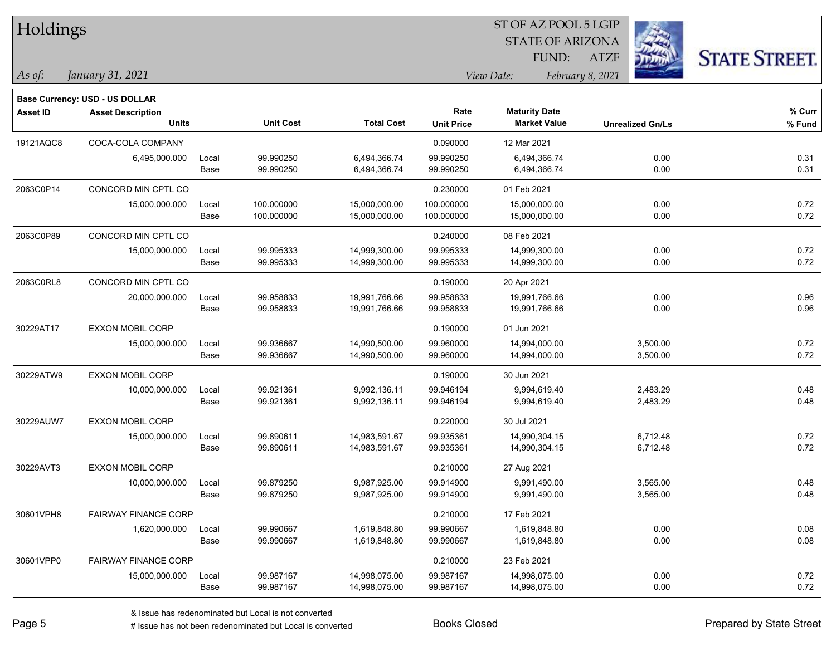| Holdings        |                                       |       |                  | ST OF AZ POOL 5 LGIP |                   |                         |                         |                      |  |  |
|-----------------|---------------------------------------|-------|------------------|----------------------|-------------------|-------------------------|-------------------------|----------------------|--|--|
|                 |                                       |       |                  |                      |                   | <b>STATE OF ARIZONA</b> |                         |                      |  |  |
|                 |                                       |       |                  |                      |                   | FUND:                   | <b>ATZF</b>             | <b>STATE STREET.</b> |  |  |
| As of:          | January 31, 2021                      |       |                  |                      |                   | View Date:              | February 8, 2021        |                      |  |  |
|                 | <b>Base Currency: USD - US DOLLAR</b> |       |                  |                      |                   |                         |                         |                      |  |  |
| <b>Asset ID</b> | <b>Asset Description</b>              |       |                  |                      | Rate              | <b>Maturity Date</b>    |                         | % Curr               |  |  |
|                 | <b>Units</b>                          |       | <b>Unit Cost</b> | <b>Total Cost</b>    | <b>Unit Price</b> | <b>Market Value</b>     | <b>Unrealized Gn/Ls</b> | % Fund               |  |  |
| 19121AQC8       | COCA-COLA COMPANY                     |       |                  |                      | 0.090000          | 12 Mar 2021             |                         |                      |  |  |
|                 | 6,495,000.000                         | Local | 99.990250        | 6,494,366.74         | 99.990250         | 6,494,366.74            | 0.00                    | 0.31                 |  |  |
|                 |                                       | Base  | 99.990250        | 6,494,366.74         | 99.990250         | 6,494,366.74            | 0.00                    | 0.31                 |  |  |
| 2063C0P14       | CONCORD MIN CPTL CO                   |       |                  |                      | 0.230000          | 01 Feb 2021             |                         |                      |  |  |
|                 | 15,000,000.000                        | Local | 100.000000       | 15,000,000.00        | 100.000000        | 15,000,000.00           | 0.00                    | 0.72                 |  |  |
|                 |                                       | Base  | 100.000000       | 15,000,000.00        | 100.000000        | 15,000,000.00           | 0.00                    | 0.72                 |  |  |
| 2063C0P89       | CONCORD MIN CPTL CO                   |       |                  |                      | 0.240000          | 08 Feb 2021             |                         |                      |  |  |
|                 | 15,000,000.000                        | Local | 99.995333        | 14,999,300.00        | 99.995333         | 14,999,300.00           | 0.00                    | 0.72                 |  |  |
|                 |                                       | Base  | 99.995333        | 14,999,300.00        | 99.995333         | 14,999,300.00           | 0.00                    | 0.72                 |  |  |
| 2063C0RL8       | CONCORD MIN CPTL CO                   |       |                  |                      | 0.190000          | 20 Apr 2021             |                         |                      |  |  |
|                 | 20,000,000.000                        | Local | 99.958833        | 19,991,766.66        | 99.958833         | 19,991,766.66           | 0.00                    | 0.96                 |  |  |
|                 |                                       | Base  | 99.958833        | 19,991,766.66        | 99.958833         | 19,991,766.66           | 0.00                    | 0.96                 |  |  |
| 30229AT17       | EXXON MOBIL CORP                      |       |                  |                      | 0.190000          | 01 Jun 2021             |                         |                      |  |  |
|                 | 15,000,000.000                        | Local | 99.936667        | 14,990,500.00        | 99.960000         | 14,994,000.00           | 3,500.00                | 0.72                 |  |  |
|                 |                                       | Base  | 99.936667        | 14,990,500.00        | 99.960000         | 14,994,000.00           | 3,500.00                | 0.72                 |  |  |
| 30229ATW9       | <b>EXXON MOBIL CORP</b>               |       |                  |                      | 0.190000          | 30 Jun 2021             |                         |                      |  |  |
|                 | 10,000,000.000                        | Local | 99.921361        | 9,992,136.11         | 99.946194         | 9,994,619.40            | 2,483.29                | 0.48                 |  |  |
|                 |                                       | Base  | 99.921361        | 9,992,136.11         | 99.946194         | 9,994,619.40            | 2,483.29                | 0.48                 |  |  |
| 30229AUW7       | EXXON MOBIL CORP                      |       |                  |                      | 0.220000          | 30 Jul 2021             |                         |                      |  |  |
|                 | 15,000,000.000                        | Local | 99.890611        | 14,983,591.67        | 99.935361         | 14,990,304.15           | 6,712.48                | 0.72                 |  |  |
|                 |                                       | Base  | 99.890611        | 14,983,591.67        | 99.935361         | 14,990,304.15           | 6,712.48                | 0.72                 |  |  |
| 30229AVT3       | EXXON MOBIL CORP                      |       |                  |                      | 0.210000          | 27 Aug 2021             |                         |                      |  |  |
|                 | 10,000,000.000                        | Local | 99.879250        | 9,987,925.00         | 99.914900         | 9,991,490.00            | 3,565.00                | 0.48                 |  |  |
|                 |                                       | Base  | 99.879250        | 9,987,925.00         | 99.914900         | 9,991,490.00            | 3,565.00                | 0.48                 |  |  |
| 30601VPH8       | <b>FAIRWAY FINANCE CORP</b>           |       |                  |                      | 0.210000          | 17 Feb 2021             |                         |                      |  |  |
|                 | 1,620,000.000                         | Local | 99.990667        | 1,619,848.80         | 99.990667         | 1,619,848.80            | 0.00                    | 0.08                 |  |  |
|                 |                                       | Base  | 99.990667        | 1,619,848.80         | 99.990667         | 1,619,848.80            | 0.00                    | 0.08                 |  |  |
| 30601VPP0       | FAIRWAY FINANCE CORP                  |       |                  |                      | 0.210000          | 23 Feb 2021             |                         |                      |  |  |
|                 | 15,000,000.000                        | Local | 99.987167        | 14,998,075.00        | 99.987167         | 14,998,075.00           | 0.00                    | 0.72                 |  |  |
|                 |                                       | Base  | 99.987167        | 14,998,075.00        | 99.987167         | 14,998,075.00           | 0.00                    | 0.72                 |  |  |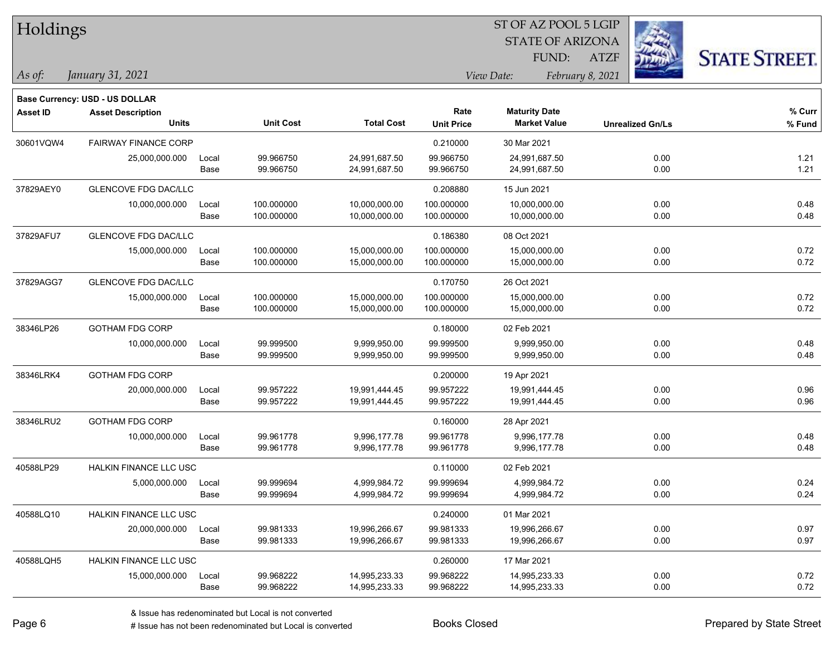| Holdings        |                                       |       |                  |                   |                   | 51 OF AZ POOL 5 LGIP    |                  |                         |                      |
|-----------------|---------------------------------------|-------|------------------|-------------------|-------------------|-------------------------|------------------|-------------------------|----------------------|
|                 |                                       |       |                  |                   |                   | <b>STATE OF ARIZONA</b> |                  |                         |                      |
|                 |                                       |       |                  |                   |                   | FUND:                   | <b>ATZF</b>      |                         | <b>STATE STREET.</b> |
| As of:          | January 31, 2021                      |       |                  |                   |                   | View Date:              | February 8, 2021 |                         |                      |
|                 | <b>Base Currency: USD - US DOLLAR</b> |       |                  |                   |                   |                         |                  |                         |                      |
| <b>Asset ID</b> | <b>Asset Description</b>              |       |                  |                   | Rate              | <b>Maturity Date</b>    |                  |                         | $%$ Curr             |
|                 | <b>Units</b>                          |       | <b>Unit Cost</b> | <b>Total Cost</b> | <b>Unit Price</b> | <b>Market Value</b>     |                  | <b>Unrealized Gn/Ls</b> | % Fund               |
| 30601VQW4       | <b>FAIRWAY FINANCE CORP</b>           |       |                  |                   | 0.210000          | 30 Mar 2021             |                  |                         |                      |
|                 | 25,000,000.000                        | Local | 99.966750        | 24,991,687.50     | 99.966750         | 24,991,687.50           |                  | 0.00                    | 1.21                 |
|                 |                                       | Base  | 99.966750        | 24,991,687.50     | 99.966750         | 24,991,687.50           |                  | 0.00                    | 1.21                 |
| 37829AEY0       | <b>GLENCOVE FDG DAC/LLC</b>           |       |                  |                   | 0.208880          | 15 Jun 2021             |                  |                         |                      |
|                 | 10,000,000.000                        | Local | 100.000000       | 10,000,000.00     | 100.000000        | 10,000,000.00           |                  | 0.00                    | 0.48                 |
|                 |                                       | Base  | 100.000000       | 10,000,000.00     | 100.000000        | 10,000,000.00           |                  | 0.00                    | 0.48                 |
| 37829AFU7       | GLENCOVE FDG DAC/LLC                  |       |                  |                   | 0.186380          | 08 Oct 2021             |                  |                         |                      |
|                 | 15,000,000.000                        | Local | 100.000000       | 15,000,000.00     | 100.000000        | 15,000,000.00           |                  | 0.00                    | 0.72                 |
|                 |                                       | Base  | 100.000000       | 15,000,000.00     | 100.000000        | 15,000,000.00           |                  | 0.00                    | 0.72                 |
| 37829AGG7       | <b>GLENCOVE FDG DAC/LLC</b>           |       |                  |                   | 0.170750          | 26 Oct 2021             |                  |                         |                      |
|                 | 15,000,000.000                        | Local | 100.000000       | 15,000,000.00     | 100.000000        | 15,000,000.00           |                  | 0.00                    | 0.72                 |
|                 |                                       | Base  | 100.000000       | 15,000,000.00     | 100.000000        | 15,000,000.00           |                  | 0.00                    | 0.72                 |
| 38346LP26       | <b>GOTHAM FDG CORP</b>                |       |                  |                   | 0.180000          | 02 Feb 2021             |                  |                         |                      |
|                 | 10,000,000.000                        | Local | 99.999500        | 9,999,950.00      | 99.999500         | 9,999,950.00            |                  | 0.00                    | 0.48                 |
|                 |                                       | Base  | 99.999500        | 9,999,950.00      | 99.999500         | 9,999,950.00            |                  | 0.00                    | 0.48                 |
| 38346LRK4       | <b>GOTHAM FDG CORP</b>                |       |                  |                   | 0.200000          | 19 Apr 2021             |                  |                         |                      |
|                 | 20,000,000.000                        | Local | 99.957222        | 19,991,444.45     | 99.957222         | 19,991,444.45           |                  | 0.00                    | 0.96                 |
|                 |                                       | Base  | 99.957222        | 19,991,444.45     | 99.957222         | 19,991,444.45           |                  | 0.00                    | 0.96                 |
| 38346LRU2       | <b>GOTHAM FDG CORP</b>                |       |                  |                   | 0.160000          | 28 Apr 2021             |                  |                         |                      |
|                 | 10,000,000.000                        | Local | 99.961778        | 9,996,177.78      | 99.961778         | 9,996,177.78            |                  | 0.00                    | 0.48                 |
|                 |                                       | Base  | 99.961778        | 9,996,177.78      | 99.961778         | 9,996,177.78            |                  | 0.00                    | 0.48                 |
| 40588LP29       | <b>HALKIN FINANCE LLC USC</b>         |       |                  |                   | 0.110000          | 02 Feb 2021             |                  |                         |                      |
|                 | 5,000,000.000                         | Local | 99.999694        | 4,999,984.72      | 99.999694         | 4,999,984.72            |                  | 0.00                    | 0.24                 |
|                 |                                       | Base  | 99.999694        | 4,999,984.72      | 99.999694         | 4,999,984.72            |                  | 0.00                    | 0.24                 |
| 40588LQ10       | HALKIN FINANCE LLC USC                |       |                  |                   | 0.240000          | 01 Mar 2021             |                  |                         |                      |
|                 | 20,000,000.000                        | Local | 99.981333        | 19,996,266.67     | 99.981333         | 19,996,266.67           |                  | 0.00                    | 0.97                 |
|                 |                                       | Base  | 99.981333        | 19,996,266.67     | 99.981333         | 19,996,266.67           |                  | 0.00                    | 0.97                 |
| 40588LQH5       | HALKIN FINANCE LLC USC                |       |                  |                   | 0.260000          | 17 Mar 2021             |                  |                         |                      |
|                 | 15,000,000.000                        | Local | 99.968222        | 14,995,233.33     | 99.968222         | 14,995,233.33           |                  | 0.00                    | 0.72                 |
|                 |                                       | Base  | 99.968222        | 14,995,233.33     | 99.968222         | 14,995,233.33           |                  | 0.00                    | 0.72                 |

 $ST$  OF AZ POOL 5 LGIP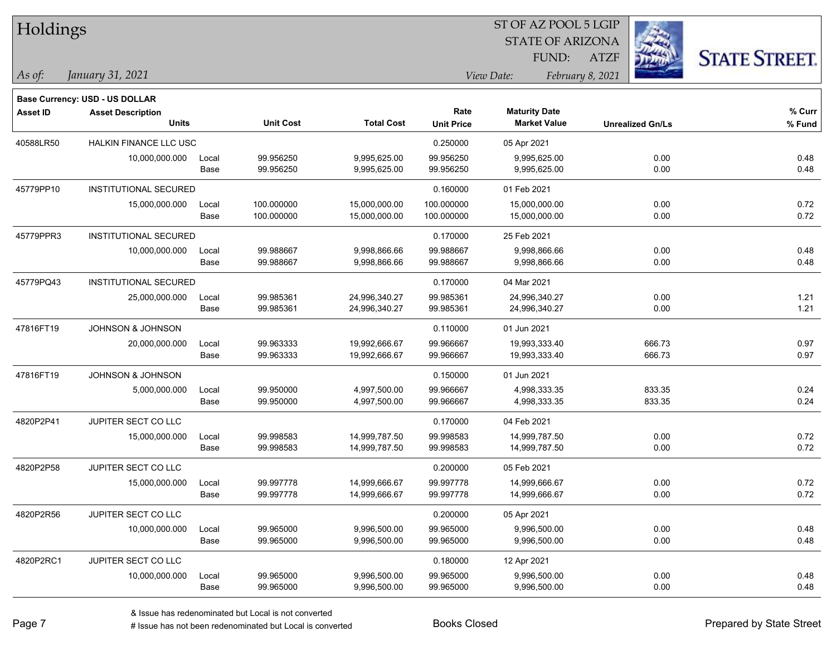| Holdings        |                                       |       |                  |                   |                   | ST OF AZ POOL 5 LGIP    |                         |                      |
|-----------------|---------------------------------------|-------|------------------|-------------------|-------------------|-------------------------|-------------------------|----------------------|
|                 |                                       |       |                  |                   |                   | <b>STATE OF ARIZONA</b> |                         |                      |
|                 |                                       |       |                  |                   |                   | FUND:                   | <b>ATZF</b>             | <b>STATE STREET.</b> |
| As of:          | January 31, 2021                      |       |                  |                   |                   | View Date:              | February 8, 2021        |                      |
|                 | <b>Base Currency: USD - US DOLLAR</b> |       |                  |                   |                   |                         |                         |                      |
| <b>Asset ID</b> | <b>Asset Description</b>              |       |                  |                   | Rate              | <b>Maturity Date</b>    |                         | % Curr               |
|                 | <b>Units</b>                          |       | <b>Unit Cost</b> | <b>Total Cost</b> | <b>Unit Price</b> | <b>Market Value</b>     | <b>Unrealized Gn/Ls</b> | % Fund               |
| 40588LR50       | HALKIN FINANCE LLC USC                |       |                  |                   | 0.250000          | 05 Apr 2021             |                         |                      |
|                 | 10,000,000.000                        | Local | 99.956250        | 9,995,625.00      | 99.956250         | 9,995,625.00            | 0.00                    | 0.48                 |
|                 |                                       | Base  | 99.956250        | 9,995,625.00      | 99.956250         | 9,995,625.00            | 0.00                    | 0.48                 |
| 45779PP10       | <b>INSTITUTIONAL SECURED</b>          |       |                  |                   | 0.160000          | 01 Feb 2021             |                         |                      |
|                 | 15,000,000.000                        | Local | 100.000000       | 15,000,000.00     | 100.000000        | 15,000,000.00           | 0.00                    | 0.72                 |
|                 |                                       | Base  | 100.000000       | 15,000,000.00     | 100.000000        | 15,000,000.00           | 0.00                    | 0.72                 |
| 45779PPR3       | <b>INSTITUTIONAL SECURED</b>          |       |                  |                   | 0.170000          | 25 Feb 2021             |                         |                      |
|                 | 10,000,000.000                        | Local | 99.988667        | 9,998,866.66      | 99.988667         | 9,998,866.66            | 0.00                    | 0.48                 |
|                 |                                       | Base  | 99.988667        | 9,998,866.66      | 99.988667         | 9,998,866.66            | 0.00                    | 0.48                 |
| 45779PQ43       | INSTITUTIONAL SECURED                 |       |                  |                   | 0.170000          | 04 Mar 2021             |                         |                      |
|                 | 25,000,000.000                        | Local | 99.985361        | 24,996,340.27     | 99.985361         | 24,996,340.27           | 0.00                    | 1.21                 |
|                 |                                       | Base  | 99.985361        | 24,996,340.27     | 99.985361         | 24,996,340.27           | 0.00                    | 1.21                 |
| 47816FT19       | JOHNSON & JOHNSON                     |       |                  |                   | 0.110000          | 01 Jun 2021             |                         |                      |
|                 | 20,000,000.000                        | Local | 99.963333        | 19,992,666.67     | 99.966667         | 19,993,333.40           | 666.73                  | 0.97                 |
|                 |                                       | Base  | 99.963333        | 19,992,666.67     | 99.966667         | 19,993,333.40           | 666.73                  | 0.97                 |
| 47816FT19       | <b>JOHNSON &amp; JOHNSON</b>          |       |                  |                   | 0.150000          | 01 Jun 2021             |                         |                      |
|                 | 5,000,000.000                         | Local | 99.950000        | 4,997,500.00      | 99.966667         | 4,998,333.35            | 833.35                  | 0.24                 |
|                 |                                       | Base  | 99.950000        | 4,997,500.00      | 99.966667         | 4,998,333.35            | 833.35                  | 0.24                 |
| 4820P2P41       | JUPITER SECT CO LLC                   |       |                  |                   | 0.170000          | 04 Feb 2021             |                         |                      |
|                 | 15,000,000.000                        | Local | 99.998583        | 14,999,787.50     | 99.998583         | 14,999,787.50           | 0.00                    | 0.72                 |
|                 |                                       | Base  | 99.998583        | 14,999,787.50     | 99.998583         | 14,999,787.50           | 0.00                    | 0.72                 |
| 4820P2P58       | JUPITER SECT CO LLC                   |       |                  |                   | 0.200000          | 05 Feb 2021             |                         |                      |
|                 | 15,000,000.000                        | Local | 99.997778        | 14,999,666.67     | 99.997778         | 14,999,666.67           | 0.00                    | 0.72                 |
|                 |                                       | Base  | 99.997778        | 14,999,666.67     | 99.997778         | 14,999,666.67           | 0.00                    | 0.72                 |
| 4820P2R56       | JUPITER SECT CO LLC                   |       |                  |                   | 0.200000          | 05 Apr 2021             |                         |                      |
|                 | 10,000,000.000                        | Local | 99.965000        | 9,996,500.00      | 99.965000         | 9,996,500.00            | 0.00                    | 0.48                 |
|                 |                                       | Base  | 99.965000        | 9,996,500.00      | 99.965000         | 9,996,500.00            | 0.00                    | 0.48                 |
| 4820P2RC1       | JUPITER SECT CO LLC                   |       |                  |                   | 0.180000          | 12 Apr 2021             |                         |                      |
|                 | 10,000,000.000                        | Local | 99.965000        | 9,996,500.00      | 99.965000         | 9,996,500.00            | 0.00                    | 0.48                 |
|                 |                                       | Base  | 99.965000        | 9,996,500.00      | 99.965000         | 9,996,500.00            | 0.00                    | 0.48                 |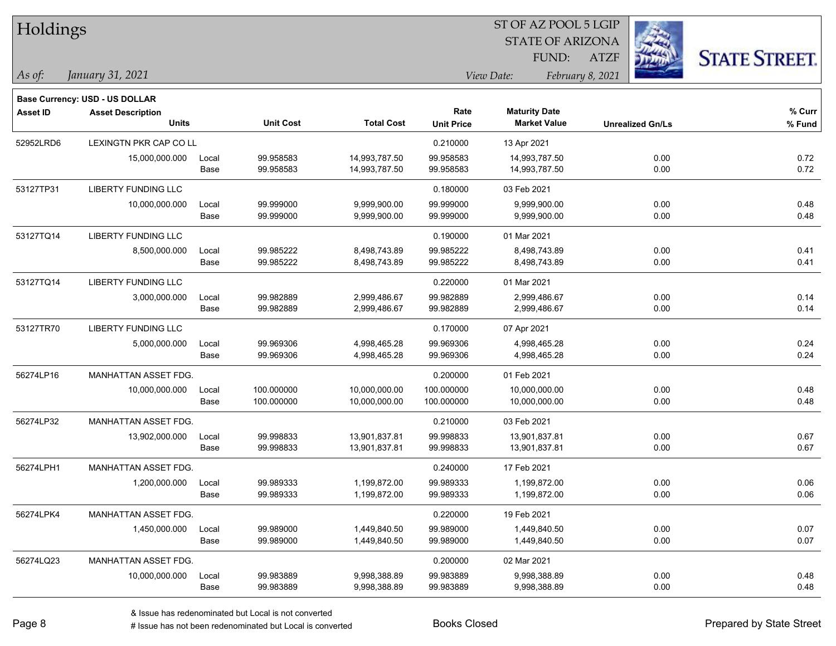| Holdings        |                                       |       |                  |                   | ST OF AZ POOL 5 LGIP |                         |                         |                      |  |  |
|-----------------|---------------------------------------|-------|------------------|-------------------|----------------------|-------------------------|-------------------------|----------------------|--|--|
|                 |                                       |       |                  |                   |                      | <b>STATE OF ARIZONA</b> |                         |                      |  |  |
|                 |                                       |       |                  |                   |                      | FUND:                   | <b>ATZF</b>             | <b>STATE STREET.</b> |  |  |
| As of:          | January 31, 2021                      |       |                  |                   |                      | View Date:              | February 8, 2021        |                      |  |  |
|                 | <b>Base Currency: USD - US DOLLAR</b> |       |                  |                   |                      |                         |                         |                      |  |  |
| <b>Asset ID</b> | <b>Asset Description</b>              |       |                  |                   | Rate                 | <b>Maturity Date</b>    |                         | % Curr               |  |  |
|                 | <b>Units</b>                          |       | <b>Unit Cost</b> | <b>Total Cost</b> | <b>Unit Price</b>    | <b>Market Value</b>     | <b>Unrealized Gn/Ls</b> | % Fund               |  |  |
| 52952LRD6       | LEXINGTN PKR CAP CO LL                |       |                  |                   | 0.210000             | 13 Apr 2021             |                         |                      |  |  |
|                 | 15,000,000.000                        | Local | 99.958583        | 14,993,787.50     | 99.958583            | 14,993,787.50           | 0.00                    | 0.72                 |  |  |
|                 |                                       | Base  | 99.958583        | 14,993,787.50     | 99.958583            | 14,993,787.50           | 0.00                    | 0.72                 |  |  |
| 53127TP31       | LIBERTY FUNDING LLC                   |       |                  |                   | 0.180000             | 03 Feb 2021             |                         |                      |  |  |
|                 | 10,000,000.000                        | Local | 99.999000        | 9,999,900.00      | 99.999000            | 9,999,900.00            | 0.00                    | 0.48                 |  |  |
|                 |                                       | Base  | 99.999000        | 9,999,900.00      | 99.999000            | 9,999,900.00            | 0.00                    | 0.48                 |  |  |
| 53127TQ14       | <b>LIBERTY FUNDING LLC</b>            |       |                  |                   | 0.190000             | 01 Mar 2021             |                         |                      |  |  |
|                 | 8,500,000.000                         | Local | 99.985222        | 8,498,743.89      | 99.985222            | 8,498,743.89            | 0.00                    | 0.41                 |  |  |
|                 |                                       | Base  | 99.985222        | 8,498,743.89      | 99.985222            | 8,498,743.89            | 0.00                    | 0.41                 |  |  |
| 53127TQ14       | LIBERTY FUNDING LLC                   |       |                  |                   | 0.220000             | 01 Mar 2021             |                         |                      |  |  |
|                 | 3,000,000.000                         | Local | 99.982889        | 2,999,486.67      | 99.982889            | 2,999,486.67            | 0.00                    | 0.14                 |  |  |
|                 |                                       | Base  | 99.982889        | 2,999,486.67      | 99.982889            | 2,999,486.67            | 0.00                    | 0.14                 |  |  |
| 53127TR70       | LIBERTY FUNDING LLC                   |       |                  |                   | 0.170000             | 07 Apr 2021             |                         |                      |  |  |
|                 | 5,000,000.000                         | Local | 99.969306        | 4,998,465.28      | 99.969306            | 4,998,465.28            | 0.00                    | 0.24                 |  |  |
|                 |                                       | Base  | 99.969306        | 4,998,465.28      | 99.969306            | 4,998,465.28            | 0.00                    | 0.24                 |  |  |
| 56274LP16       | MANHATTAN ASSET FDG.                  |       |                  |                   | 0.200000             | 01 Feb 2021             |                         |                      |  |  |
|                 | 10,000,000.000                        | Local | 100.000000       | 10,000,000.00     | 100.000000           | 10,000,000.00           | 0.00                    | 0.48                 |  |  |
|                 |                                       | Base  | 100.000000       | 10,000,000.00     | 100.000000           | 10,000,000.00           | 0.00                    | 0.48                 |  |  |
| 56274LP32       | MANHATTAN ASSET FDG.                  |       |                  |                   | 0.210000             | 03 Feb 2021             |                         |                      |  |  |
|                 | 13,902,000.000                        | Local | 99.998833        | 13,901,837.81     | 99.998833            | 13,901,837.81           | 0.00                    | 0.67                 |  |  |
|                 |                                       | Base  | 99.998833        | 13,901,837.81     | 99.998833            | 13,901,837.81           | 0.00                    | 0.67                 |  |  |
| 56274LPH1       | MANHATTAN ASSET FDG.                  |       |                  |                   | 0.240000             | 17 Feb 2021             |                         |                      |  |  |
|                 | 1,200,000.000                         | Local | 99.989333        | 1,199,872.00      | 99.989333            | 1,199,872.00            | 0.00                    | 0.06                 |  |  |
|                 |                                       | Base  | 99.989333        | 1,199,872.00      | 99.989333            | 1,199,872.00            | 0.00                    | 0.06                 |  |  |
| 56274LPK4       | <b>MANHATTAN ASSET FDG.</b>           |       |                  |                   | 0.220000             | 19 Feb 2021             |                         |                      |  |  |
|                 | 1,450,000.000                         | Local | 99.989000        | 1,449,840.50      | 99.989000            | 1,449,840.50            | 0.00                    | 0.07                 |  |  |
|                 |                                       | Base  | 99.989000        | 1,449,840.50      | 99.989000            | 1,449,840.50            | 0.00                    | 0.07                 |  |  |
| 56274LQ23       | MANHATTAN ASSET FDG.                  |       |                  |                   | 0.200000             | 02 Mar 2021             |                         |                      |  |  |
|                 | 10,000,000.000                        | Local | 99.983889        | 9,998,388.89      | 99.983889            | 9,998,388.89            | 0.00                    | 0.48                 |  |  |
|                 |                                       | Base  | 99.983889        | 9,998,388.89      | 99.983889            | 9,998,388.89            | 0.00                    | 0.48                 |  |  |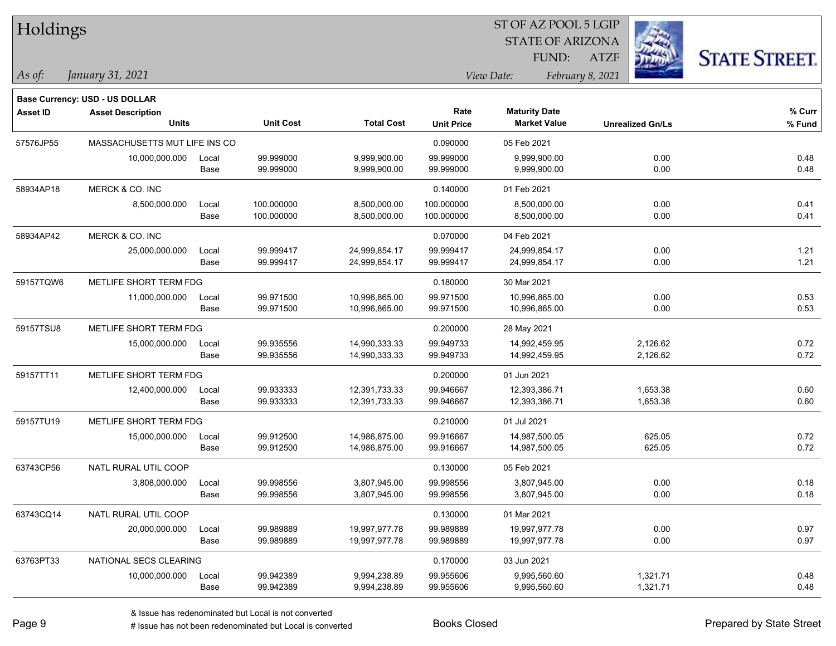| Holdings        |                                       |       |                  |                   | 51 OF AZ POOL 5 LGIP |                         |                         |                     |  |  |
|-----------------|---------------------------------------|-------|------------------|-------------------|----------------------|-------------------------|-------------------------|---------------------|--|--|
|                 |                                       |       |                  |                   |                      | <b>STATE OF ARIZONA</b> |                         |                     |  |  |
|                 |                                       |       |                  |                   |                      | FUND:                   | <b>ATZF</b>             | <b>STATE STREET</b> |  |  |
| $\vert$ As of:  | January 31, 2021                      |       |                  |                   |                      | View Date:              | February 8, 2021        |                     |  |  |
|                 | <b>Base Currency: USD - US DOLLAR</b> |       |                  |                   |                      |                         |                         |                     |  |  |
| <b>Asset ID</b> | <b>Asset Description</b>              |       |                  |                   | Rate                 | <b>Maturity Date</b>    |                         | % Curr              |  |  |
|                 | <b>Units</b>                          |       | <b>Unit Cost</b> | <b>Total Cost</b> | <b>Unit Price</b>    | <b>Market Value</b>     | <b>Unrealized Gn/Ls</b> | % Fund              |  |  |
| 57576JP55       | MASSACHUSETTS MUT LIFE INS CO         |       |                  |                   | 0.090000             | 05 Feb 2021             |                         |                     |  |  |
|                 | 10,000,000.000                        | Local | 99.999000        | 9,999,900.00      | 99.999000            | 9,999,900.00            | 0.00                    | 0.48                |  |  |
|                 |                                       | Base  | 99.999000        | 9,999,900.00      | 99.999000            | 9,999,900.00            | 0.00                    | 0.48                |  |  |
| 58934AP18       | MERCK & CO. INC                       |       |                  |                   | 0.140000             | 01 Feb 2021             |                         |                     |  |  |
|                 | 8,500,000.000                         | Local | 100.000000       | 8,500,000.00      | 100.000000           | 8,500,000.00            | 0.00                    | 0.41                |  |  |
|                 |                                       | Base  | 100.000000       | 8,500,000.00      | 100.000000           | 8,500,000.00            | 0.00                    | 0.41                |  |  |
| 58934AP42       | MERCK & CO. INC                       |       |                  |                   | 0.070000             | 04 Feb 2021             |                         |                     |  |  |
|                 | 25,000,000.000                        | Local | 99.999417        | 24,999,854.17     | 99.999417            | 24,999,854.17           | 0.00                    | 1.21                |  |  |
|                 |                                       | Base  | 99.999417        | 24,999,854.17     | 99.999417            | 24,999,854.17           | 0.00                    | 1.21                |  |  |
| 59157TQW6       | METLIFE SHORT TERM FDG                |       |                  |                   | 0.180000             | 30 Mar 2021             |                         |                     |  |  |
|                 | 11,000,000.000                        | Local | 99.971500        | 10,996,865.00     | 99.971500            | 10,996,865.00           | 0.00                    | 0.53                |  |  |
|                 |                                       | Base  | 99.971500        | 10,996,865.00     | 99.971500            | 10,996,865.00           | 0.00                    | 0.53                |  |  |
| 59157TSU8       | METLIFE SHORT TERM FDG                |       |                  |                   | 0.200000             | 28 May 2021             |                         |                     |  |  |
|                 | 15,000,000.000                        | Local | 99.935556        | 14,990,333.33     | 99.949733            | 14,992,459.95           | 2,126.62                | 0.72                |  |  |
|                 |                                       | Base  | 99.935556        | 14,990,333.33     | 99.949733            | 14,992,459.95           | 2,126.62                | 0.72                |  |  |
| 59157TT11       | METLIFE SHORT TERM FDG                |       |                  |                   | 0.200000             | 01 Jun 2021             |                         |                     |  |  |
|                 | 12,400,000.000                        | Local | 99.933333        | 12,391,733.33     | 99.946667            | 12,393,386.71           | 1,653.38                | 0.60                |  |  |
|                 |                                       | Base  | 99.933333        | 12,391,733.33     | 99.946667            | 12,393,386.71           | 1,653.38                | 0.60                |  |  |
| 59157TU19       | METLIFE SHORT TERM FDG                |       |                  |                   | 0.210000             | 01 Jul 2021             |                         |                     |  |  |
|                 | 15,000,000.000                        | Local | 99.912500        | 14,986,875.00     | 99.916667            | 14,987,500.05           | 625.05                  | 0.72                |  |  |
|                 |                                       | Base  | 99.912500        | 14,986,875.00     | 99.916667            | 14,987,500.05           | 625.05                  | 0.72                |  |  |
| 63743CP56       | NATL RURAL UTIL COOP                  |       |                  |                   | 0.130000             | 05 Feb 2021             |                         |                     |  |  |
|                 | 3,808,000.000                         | Local | 99.998556        | 3,807,945.00      | 99.998556            | 3,807,945.00            | 0.00                    | 0.18                |  |  |
|                 |                                       | Base  | 99.998556        | 3,807,945.00      | 99.998556            | 3,807,945.00            | 0.00                    | 0.18                |  |  |
| 63743CQ14       | NATL RURAL UTIL COOP                  |       |                  |                   | 0.130000             | 01 Mar 2021             |                         |                     |  |  |
|                 | 20,000,000.000                        | Local | 99.989889        | 19,997,977.78     | 99.989889            | 19,997,977.78           | 0.00                    | 0.97                |  |  |
|                 |                                       | Base  | 99.989889        | 19,997,977.78     | 99.989889            | 19,997,977.78           | 0.00                    | 0.97                |  |  |
| 63763PT33       | NATIONAL SECS CLEARING                |       |                  |                   | 0.170000             | 03 Jun 2021             |                         |                     |  |  |
|                 | 10,000,000.000                        | Local | 99.942389        | 9,994,238.89      | 99.955606            | 9,995,560.60            | 1,321.71                | 0.48                |  |  |
|                 |                                       | Base  | 99.942389        | 9,994,238.89      | 99.955606            | 9,995,560.60            | 1,321.71                | 0.48                |  |  |

 $ST$  OF AZ POOL 5 LGIP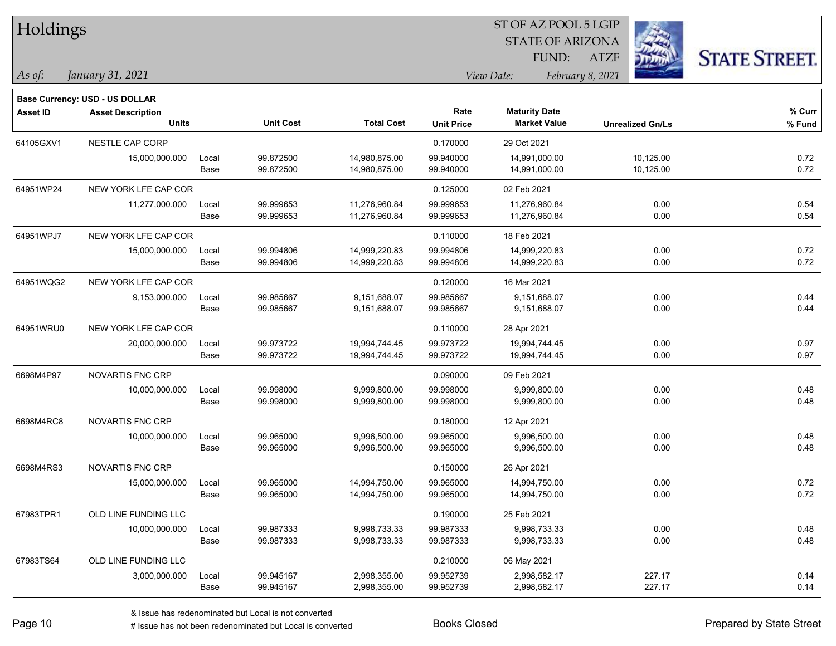| Holdings        |                                       |       |                  | ST OF AZ POOL 5 LGIP |                   |                         |                         |                      |  |  |
|-----------------|---------------------------------------|-------|------------------|----------------------|-------------------|-------------------------|-------------------------|----------------------|--|--|
|                 |                                       |       |                  |                      |                   | <b>STATE OF ARIZONA</b> |                         |                      |  |  |
|                 |                                       |       |                  |                      |                   | FUND:                   | <b>ATZF</b>             | <b>STATE STREET.</b> |  |  |
| As of:          | January 31, 2021                      |       |                  |                      |                   | View Date:              | February 8, 2021        |                      |  |  |
|                 | <b>Base Currency: USD - US DOLLAR</b> |       |                  |                      |                   |                         |                         |                      |  |  |
| <b>Asset ID</b> | <b>Asset Description</b>              |       |                  |                      | Rate              | <b>Maturity Date</b>    |                         | % Curr               |  |  |
|                 | <b>Units</b>                          |       | <b>Unit Cost</b> | <b>Total Cost</b>    | <b>Unit Price</b> | <b>Market Value</b>     | <b>Unrealized Gn/Ls</b> | % Fund               |  |  |
| 64105GXV1       | NESTLE CAP CORP                       |       |                  |                      | 0.170000          | 29 Oct 2021             |                         |                      |  |  |
|                 | 15,000,000.000                        | Local | 99.872500        | 14,980,875.00        | 99.940000         | 14,991,000.00           | 10,125.00               | 0.72                 |  |  |
|                 |                                       | Base  | 99.872500        | 14,980,875.00        | 99.940000         | 14,991,000.00           | 10,125.00               | 0.72                 |  |  |
| 64951WP24       | NEW YORK LFE CAP COR                  |       |                  |                      | 0.125000          | 02 Feb 2021             |                         |                      |  |  |
|                 | 11,277,000.000                        | Local | 99.999653        | 11,276,960.84        | 99.999653         | 11,276,960.84           | 0.00                    | 0.54                 |  |  |
|                 |                                       | Base  | 99.999653        | 11,276,960.84        | 99.999653         | 11,276,960.84           | 0.00                    | 0.54                 |  |  |
| 64951WPJ7       | NEW YORK LFE CAP COR                  |       |                  |                      | 0.110000          | 18 Feb 2021             |                         |                      |  |  |
|                 | 15,000,000.000                        | Local | 99.994806        | 14,999,220.83        | 99.994806         | 14,999,220.83           | 0.00                    | 0.72                 |  |  |
|                 |                                       | Base  | 99.994806        | 14,999,220.83        | 99.994806         | 14,999,220.83           | 0.00                    | 0.72                 |  |  |
| 64951WQG2       | NEW YORK LFE CAP COR                  |       |                  |                      | 0.120000          | 16 Mar 2021             |                         |                      |  |  |
|                 | 9,153,000.000                         | Local | 99.985667        | 9,151,688.07         | 99.985667         | 9,151,688.07            | 0.00                    | 0.44                 |  |  |
|                 |                                       | Base  | 99.985667        | 9,151,688.07         | 99.985667         | 9,151,688.07            | 0.00                    | 0.44                 |  |  |
| 64951WRU0       | NEW YORK LFE CAP COR                  |       |                  |                      | 0.110000          | 28 Apr 2021             |                         |                      |  |  |
|                 | 20,000,000.000                        | Local | 99.973722        | 19,994,744.45        | 99.973722         | 19,994,744.45           | 0.00                    | 0.97                 |  |  |
|                 |                                       | Base  | 99.973722        | 19,994,744.45        | 99.973722         | 19,994,744.45           | 0.00                    | 0.97                 |  |  |
| 6698M4P97       | <b>NOVARTIS FNC CRP</b>               |       |                  |                      | 0.090000          | 09 Feb 2021             |                         |                      |  |  |
|                 | 10,000,000.000                        | Local | 99.998000        | 9,999,800.00         | 99.998000         | 9,999,800.00            | 0.00                    | 0.48                 |  |  |
|                 |                                       | Base  | 99.998000        | 9,999,800.00         | 99.998000         | 9,999,800.00            | 0.00                    | 0.48                 |  |  |
| 6698M4RC8       | <b>NOVARTIS FNC CRP</b>               |       |                  |                      | 0.180000          | 12 Apr 2021             |                         |                      |  |  |
|                 | 10,000,000.000                        | Local | 99.965000        | 9,996,500.00         | 99.965000         | 9,996,500.00            | 0.00                    | 0.48                 |  |  |
|                 |                                       | Base  | 99.965000        | 9,996,500.00         | 99.965000         | 9,996,500.00            | 0.00                    | 0.48                 |  |  |
| 6698M4RS3       | NOVARTIS FNC CRP                      |       |                  |                      | 0.150000          | 26 Apr 2021             |                         |                      |  |  |
|                 | 15,000,000.000                        | Local | 99.965000        | 14,994,750.00        | 99.965000         | 14,994,750.00           | 0.00                    | 0.72                 |  |  |
|                 |                                       | Base  | 99.965000        | 14,994,750.00        | 99.965000         | 14,994,750.00           | 0.00                    | 0.72                 |  |  |
| 67983TPR1       | OLD LINE FUNDING LLC                  |       |                  |                      | 0.190000          | 25 Feb 2021             |                         |                      |  |  |
|                 | 10,000,000.000                        | Local | 99.987333        | 9,998,733.33         | 99.987333         | 9,998,733.33            | 0.00                    | 0.48                 |  |  |
|                 |                                       | Base  | 99.987333        | 9,998,733.33         | 99.987333         | 9,998,733.33            | 0.00                    | 0.48                 |  |  |
| 67983TS64       | OLD LINE FUNDING LLC                  |       |                  |                      | 0.210000          | 06 May 2021             |                         |                      |  |  |
|                 | 3,000,000.000                         | Local | 99.945167        | 2,998,355.00         | 99.952739         | 2,998,582.17            | 227.17                  | 0.14                 |  |  |
|                 |                                       | Base  | 99.945167        | 2,998,355.00         | 99.952739         | 2,998,582.17            | 227.17                  | 0.14                 |  |  |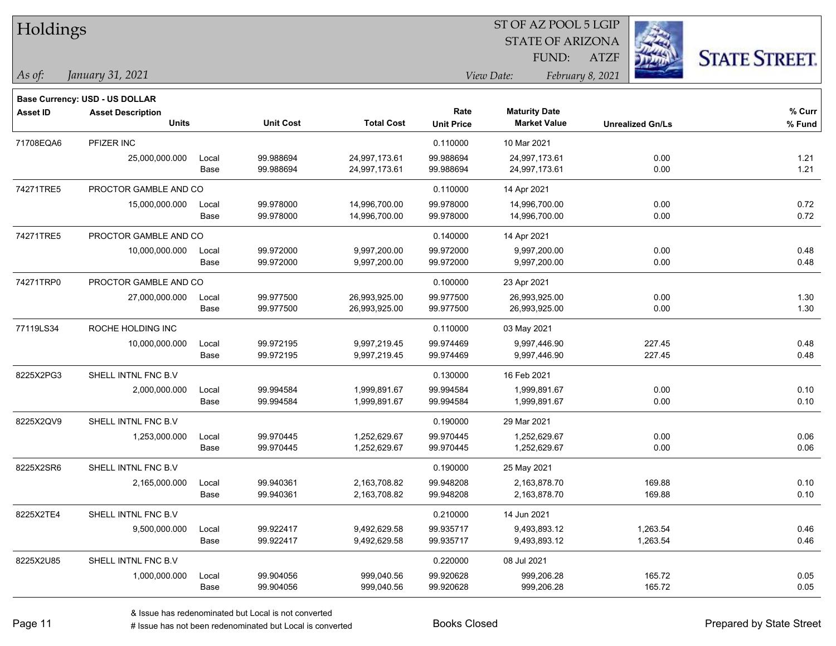| Holdings        |                                       |       |                  |                   | ST OF AZ POOL 5 LGIP |                                |                         |                      |  |  |
|-----------------|---------------------------------------|-------|------------------|-------------------|----------------------|--------------------------------|-------------------------|----------------------|--|--|
|                 |                                       |       |                  |                   |                      | <b>STATE OF ARIZONA</b>        |                         |                      |  |  |
|                 |                                       |       |                  |                   |                      | FUND:                          | <b>ATZF</b>             | <b>STATE STREET.</b> |  |  |
| As of:          | January 31, 2021                      |       |                  |                   |                      | View Date:<br>February 8, 2021 |                         |                      |  |  |
|                 | <b>Base Currency: USD - US DOLLAR</b> |       |                  |                   |                      |                                |                         |                      |  |  |
| <b>Asset ID</b> | <b>Asset Description</b>              |       |                  |                   | Rate                 | <b>Maturity Date</b>           |                         | % Curr               |  |  |
|                 | <b>Units</b>                          |       | <b>Unit Cost</b> | <b>Total Cost</b> | <b>Unit Price</b>    | <b>Market Value</b>            | <b>Unrealized Gn/Ls</b> | % Fund               |  |  |
| 71708EQA6       | PFIZER INC                            |       |                  |                   | 0.110000             | 10 Mar 2021                    |                         |                      |  |  |
|                 | 25,000,000.000                        | Local | 99.988694        | 24,997,173.61     | 99.988694            | 24,997,173.61                  | 0.00                    | 1.21                 |  |  |
|                 |                                       | Base  | 99.988694        | 24,997,173.61     | 99.988694            | 24,997,173.61                  | 0.00                    | 1.21                 |  |  |
| 74271TRE5       | PROCTOR GAMBLE AND CO                 |       |                  |                   | 0.110000             | 14 Apr 2021                    |                         |                      |  |  |
|                 | 15,000,000.000                        | Local | 99.978000        | 14,996,700.00     | 99.978000            | 14,996,700.00                  | 0.00                    | 0.72                 |  |  |
|                 |                                       | Base  | 99.978000        | 14,996,700.00     | 99.978000            | 14,996,700.00                  | 0.00                    | 0.72                 |  |  |
| 74271TRE5       | PROCTOR GAMBLE AND CO                 |       |                  |                   | 0.140000             | 14 Apr 2021                    |                         |                      |  |  |
|                 | 10,000,000.000                        | Local | 99.972000        | 9,997,200.00      | 99.972000            | 9,997,200.00                   | 0.00                    | 0.48                 |  |  |
|                 |                                       | Base  | 99.972000        | 9,997,200.00      | 99.972000            | 9,997,200.00                   | 0.00                    | 0.48                 |  |  |
| 74271TRP0       | PROCTOR GAMBLE AND CO                 |       |                  |                   | 0.100000             | 23 Apr 2021                    |                         |                      |  |  |
|                 | 27,000,000.000                        | Local | 99.977500        | 26,993,925.00     | 99.977500            | 26,993,925.00                  | 0.00                    | 1.30                 |  |  |
|                 |                                       | Base  | 99.977500        | 26,993,925.00     | 99.977500            | 26,993,925.00                  | 0.00                    | 1.30                 |  |  |
| 77119LS34       | ROCHE HOLDING INC                     |       |                  |                   | 0.110000             | 03 May 2021                    |                         |                      |  |  |
|                 | 10,000,000.000                        | Local | 99.972195        | 9,997,219.45      | 99.974469            | 9,997,446.90                   | 227.45                  | 0.48                 |  |  |
|                 |                                       | Base  | 99.972195        | 9,997,219.45      | 99.974469            | 9,997,446.90                   | 227.45                  | 0.48                 |  |  |
| 8225X2PG3       | SHELL INTNL FNC B.V                   |       |                  |                   | 0.130000             | 16 Feb 2021                    |                         |                      |  |  |
|                 | 2,000,000.000                         | Local | 99.994584        | 1,999,891.67      | 99.994584            | 1,999,891.67                   | 0.00                    | 0.10                 |  |  |
|                 |                                       | Base  | 99.994584        | 1,999,891.67      | 99.994584            | 1,999,891.67                   | 0.00                    | 0.10                 |  |  |
| 8225X2QV9       | SHELL INTNL FNC B.V                   |       |                  |                   | 0.190000             | 29 Mar 2021                    |                         |                      |  |  |
|                 | 1,253,000.000                         | Local | 99.970445        | 1,252,629.67      | 99.970445            | 1,252,629.67                   | 0.00                    | 0.06                 |  |  |
|                 |                                       | Base  | 99.970445        | 1,252,629.67      | 99.970445            | 1,252,629.67                   | 0.00                    | 0.06                 |  |  |
| 8225X2SR6       | SHELL INTNL FNC B.V                   |       |                  |                   | 0.190000             | 25 May 2021                    |                         |                      |  |  |
|                 | 2,165,000.000                         | Local | 99.940361        | 2,163,708.82      | 99.948208            | 2,163,878.70                   | 169.88                  | 0.10                 |  |  |
|                 |                                       | Base  | 99.940361        | 2,163,708.82      | 99.948208            | 2,163,878.70                   | 169.88                  | 0.10                 |  |  |
| 8225X2TE4       | SHELL INTNL FNC B.V                   |       |                  |                   | 0.210000             | 14 Jun 2021                    |                         |                      |  |  |
|                 | 9,500,000.000                         | Local | 99.922417        | 9,492,629.58      | 99.935717            | 9,493,893.12                   | 1,263.54                | 0.46                 |  |  |
|                 |                                       | Base  | 99.922417        | 9,492,629.58      | 99.935717            | 9,493,893.12                   | 1,263.54                | 0.46                 |  |  |
| 8225X2U85       | SHELL INTNL FNC B.V                   |       |                  |                   | 0.220000             | 08 Jul 2021                    |                         |                      |  |  |
|                 | 1,000,000.000                         | Local | 99.904056        | 999,040.56        | 99.920628            | 999,206.28                     | 165.72                  | 0.05                 |  |  |
|                 |                                       | Base  | 99.904056        | 999,040.56        | 99.920628            | 999,206.28                     | 165.72                  | 0.05                 |  |  |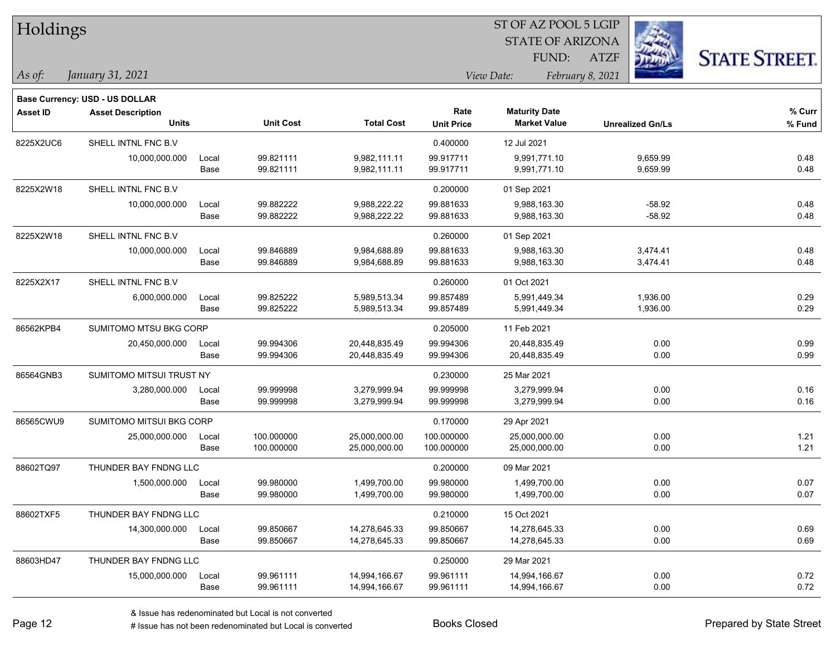| Holdings        |                                       |       |                  |                   | ST OF AZ POOL 5 LGIP |                         |                         |                      |  |  |
|-----------------|---------------------------------------|-------|------------------|-------------------|----------------------|-------------------------|-------------------------|----------------------|--|--|
|                 |                                       |       |                  |                   |                      | <b>STATE OF ARIZONA</b> |                         |                      |  |  |
|                 |                                       |       |                  |                   |                      | FUND:                   | <b>ATZF</b>             | <b>STATE STREET.</b> |  |  |
| As of:          | January 31, 2021                      |       |                  |                   |                      | View Date:              | February 8, 2021        |                      |  |  |
|                 | <b>Base Currency: USD - US DOLLAR</b> |       |                  |                   |                      |                         |                         |                      |  |  |
| <b>Asset ID</b> | <b>Asset Description</b>              |       |                  |                   | Rate                 | <b>Maturity Date</b>    |                         | % Curr               |  |  |
|                 | <b>Units</b>                          |       | <b>Unit Cost</b> | <b>Total Cost</b> | <b>Unit Price</b>    | <b>Market Value</b>     | <b>Unrealized Gn/Ls</b> | % Fund               |  |  |
| 8225X2UC6       | SHELL INTNL FNC B.V                   |       |                  |                   | 0.400000             | 12 Jul 2021             |                         |                      |  |  |
|                 | 10,000,000.000                        | Local | 99.821111        | 9,982,111.11      | 99.917711            | 9,991,771.10            | 9,659.99                | 0.48                 |  |  |
|                 |                                       | Base  | 99.821111        | 9,982,111.11      | 99.917711            | 9,991,771.10            | 9,659.99                | 0.48                 |  |  |
| 8225X2W18       | SHELL INTNL FNC B.V                   |       |                  |                   | 0.200000             | 01 Sep 2021             |                         |                      |  |  |
|                 | 10,000,000.000                        | Local | 99.882222        | 9,988,222.22      | 99.881633            | 9,988,163.30            | $-58.92$                | 0.48                 |  |  |
|                 |                                       | Base  | 99.882222        | 9,988,222.22      | 99.881633            | 9,988,163.30            | $-58.92$                | 0.48                 |  |  |
| 8225X2W18       | SHELL INTNL FNC B.V                   |       |                  |                   | 0.260000             | 01 Sep 2021             |                         |                      |  |  |
|                 | 10,000,000.000                        | Local | 99.846889        | 9,984,688.89      | 99.881633            | 9,988,163.30            | 3,474.41                | 0.48                 |  |  |
|                 |                                       | Base  | 99.846889        | 9,984,688.89      | 99.881633            | 9,988,163.30            | 3,474.41                | 0.48                 |  |  |
| 8225X2X17       | SHELL INTNL FNC B.V                   |       |                  |                   | 0.260000             | 01 Oct 2021             |                         |                      |  |  |
|                 | 6,000,000.000                         | Local | 99.825222        | 5,989,513.34      | 99.857489            | 5,991,449.34            | 1,936.00                | 0.29                 |  |  |
|                 |                                       | Base  | 99.825222        | 5,989,513.34      | 99.857489            | 5,991,449.34            | 1,936.00                | 0.29                 |  |  |
| 86562KPB4       | SUMITOMO MTSU BKG CORP                |       |                  |                   | 0.205000             | 11 Feb 2021             |                         |                      |  |  |
|                 | 20,450,000.000                        | Local | 99.994306        | 20,448,835.49     | 99.994306            | 20,448,835.49           | 0.00                    | 0.99                 |  |  |
|                 |                                       | Base  | 99.994306        | 20,448,835.49     | 99.994306            | 20,448,835.49           | 0.00                    | 0.99                 |  |  |
| 86564GNB3       | SUMITOMO MITSUI TRUST NY              |       |                  |                   | 0.230000             | 25 Mar 2021             |                         |                      |  |  |
|                 | 3,280,000.000                         | Local | 99.999998        | 3,279,999.94      | 99.999998            | 3,279,999.94            | 0.00                    | 0.16                 |  |  |
|                 |                                       | Base  | 99.999998        | 3,279,999.94      | 99.999998            | 3,279,999.94            | 0.00                    | 0.16                 |  |  |
| 86565CWU9       | SUMITOMO MITSUI BKG CORP              |       |                  |                   | 0.170000             | 29 Apr 2021             |                         |                      |  |  |
|                 | 25,000,000.000                        | Local | 100.000000       | 25,000,000.00     | 100.000000           | 25,000,000.00           | 0.00                    | 1.21                 |  |  |
|                 |                                       | Base  | 100.000000       | 25,000,000.00     | 100.000000           | 25,000,000.00           | 0.00                    | 1.21                 |  |  |
| 88602TQ97       | THUNDER BAY FNDNG LLC                 |       |                  |                   | 0.200000             | 09 Mar 2021             |                         |                      |  |  |
|                 | 1,500,000.000                         | Local | 99.980000        | 1,499,700.00      | 99.980000            | 1,499,700.00            | 0.00                    | 0.07                 |  |  |
|                 |                                       | Base  | 99.980000        | 1,499,700.00      | 99.980000            | 1,499,700.00            | 0.00                    | 0.07                 |  |  |
| 88602TXF5       | THUNDER BAY FNDNG LLC                 |       |                  |                   | 0.210000             | 15 Oct 2021             |                         |                      |  |  |
|                 | 14,300,000.000                        | Local | 99.850667        | 14,278,645.33     | 99.850667            | 14,278,645.33           | 0.00                    | 0.69                 |  |  |
|                 |                                       | Base  | 99.850667        | 14,278,645.33     | 99.850667            | 14,278,645.33           | 0.00                    | 0.69                 |  |  |
| 88603HD47       | THUNDER BAY FNDNG LLC                 |       |                  |                   | 0.250000             | 29 Mar 2021             |                         |                      |  |  |
|                 | 15,000,000.000                        | Local | 99.961111        | 14,994,166.67     | 99.961111            | 14,994,166.67           | 0.00                    | 0.72                 |  |  |
|                 |                                       | Base  | 99.961111        | 14,994,166.67     | 99.961111            | 14,994,166.67           | 0.00                    | 0.72                 |  |  |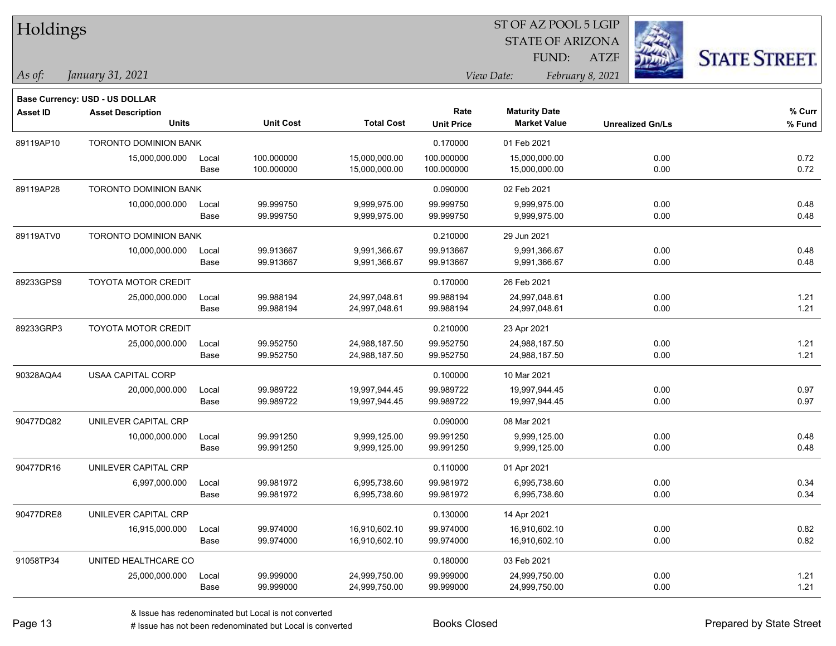| Holdings        |                                       |       |                  |                   |                   | ST OF AZ POOL 5 LGIP    |                  |                         |                      |
|-----------------|---------------------------------------|-------|------------------|-------------------|-------------------|-------------------------|------------------|-------------------------|----------------------|
|                 |                                       |       |                  |                   |                   | <b>STATE OF ARIZONA</b> |                  |                         |                      |
|                 |                                       |       |                  |                   |                   | FUND:                   | <b>ATZF</b>      |                         | <b>STATE STREET.</b> |
| As of:          | January 31, 2021                      |       |                  |                   |                   | View Date:              | February 8, 2021 |                         |                      |
|                 | <b>Base Currency: USD - US DOLLAR</b> |       |                  |                   |                   |                         |                  |                         |                      |
| <b>Asset ID</b> | <b>Asset Description</b>              |       |                  |                   | Rate              | <b>Maturity Date</b>    |                  |                         | % Curr               |
|                 | <b>Units</b>                          |       | <b>Unit Cost</b> | <b>Total Cost</b> | <b>Unit Price</b> | <b>Market Value</b>     |                  | <b>Unrealized Gn/Ls</b> | % Fund               |
| 89119AP10       | TORONTO DOMINION BANK                 |       |                  |                   | 0.170000          | 01 Feb 2021             |                  |                         |                      |
|                 | 15,000,000.000                        | Local | 100.000000       | 15,000,000.00     | 100.000000        | 15,000,000.00           |                  | 0.00                    | 0.72                 |
|                 |                                       | Base  | 100.000000       | 15,000,000.00     | 100.000000        | 15,000,000.00           |                  | 0.00                    | 0.72                 |
| 89119AP28       | <b>TORONTO DOMINION BANK</b>          |       |                  |                   | 0.090000          | 02 Feb 2021             |                  |                         |                      |
|                 | 10,000,000.000                        | Local | 99.999750        | 9,999,975.00      | 99.999750         | 9,999,975.00            |                  | 0.00                    | 0.48                 |
|                 |                                       | Base  | 99.999750        | 9,999,975.00      | 99.999750         | 9,999,975.00            |                  | 0.00                    | 0.48                 |
| 89119ATV0       | <b>TORONTO DOMINION BANK</b>          |       |                  |                   | 0.210000          | 29 Jun 2021             |                  |                         |                      |
|                 | 10,000,000.000                        | Local | 99.913667        | 9,991,366.67      | 99.913667         | 9,991,366.67            |                  | 0.00                    | 0.48                 |
|                 |                                       | Base  | 99.913667        | 9,991,366.67      | 99.913667         | 9,991,366.67            |                  | 0.00                    | 0.48                 |
| 89233GPS9       | TOYOTA MOTOR CREDIT                   |       |                  |                   | 0.170000          | 26 Feb 2021             |                  |                         |                      |
|                 | 25,000,000.000                        | Local | 99.988194        | 24,997,048.61     | 99.988194         | 24,997,048.61           |                  | 0.00                    | 1.21                 |
|                 |                                       | Base  | 99.988194        | 24,997,048.61     | 99.988194         | 24,997,048.61           |                  | 0.00                    | 1.21                 |
| 89233GRP3       | TOYOTA MOTOR CREDIT                   |       |                  |                   | 0.210000          | 23 Apr 2021             |                  |                         |                      |
|                 | 25,000,000.000                        | Local | 99.952750        | 24,988,187.50     | 99.952750         | 24,988,187.50           |                  | 0.00                    | 1.21                 |
|                 |                                       | Base  | 99.952750        | 24,988,187.50     | 99.952750         | 24,988,187.50           |                  | 0.00                    | 1.21                 |
| 90328AQA4       | <b>USAA CAPITAL CORP</b>              |       |                  |                   | 0.100000          | 10 Mar 2021             |                  |                         |                      |
|                 | 20,000,000.000                        | Local | 99.989722        | 19,997,944.45     | 99.989722         | 19,997,944.45           |                  | 0.00                    | 0.97                 |
|                 |                                       | Base  | 99.989722        | 19,997,944.45     | 99.989722         | 19,997,944.45           |                  | 0.00                    | 0.97                 |
| 90477DQ82       | UNILEVER CAPITAL CRP                  |       |                  |                   | 0.090000          | 08 Mar 2021             |                  |                         |                      |
|                 | 10,000,000.000                        | Local | 99.991250        | 9,999,125.00      | 99.991250         | 9,999,125.00            |                  | 0.00                    | 0.48                 |
|                 |                                       | Base  | 99.991250        | 9,999,125.00      | 99.991250         | 9,999,125.00            |                  | 0.00                    | 0.48                 |
| 90477DR16       | UNILEVER CAPITAL CRP                  |       |                  |                   | 0.110000          | 01 Apr 2021             |                  |                         |                      |
|                 | 6,997,000.000                         | Local | 99.981972        | 6,995,738.60      | 99.981972         | 6,995,738.60            |                  | 0.00                    | 0.34                 |
|                 |                                       | Base  | 99.981972        | 6,995,738.60      | 99.981972         | 6,995,738.60            |                  | 0.00                    | 0.34                 |
| 90477DRE8       | UNILEVER CAPITAL CRP                  |       |                  |                   | 0.130000          | 14 Apr 2021             |                  |                         |                      |
|                 | 16,915,000.000                        | Local | 99.974000        | 16,910,602.10     | 99.974000         | 16,910,602.10           |                  | 0.00                    | 0.82                 |
|                 |                                       | Base  | 99.974000        | 16,910,602.10     | 99.974000         | 16,910,602.10           |                  | 0.00                    | 0.82                 |
| 91058TP34       | UNITED HEALTHCARE CO                  |       |                  |                   | 0.180000          | 03 Feb 2021             |                  |                         |                      |
|                 | 25,000,000.000                        | Local | 99.999000        | 24,999,750.00     | 99.999000         | 24,999,750.00           |                  | 0.00                    | 1.21                 |
|                 |                                       | Base  | 99.999000        | 24,999,750.00     | 99.999000         | 24,999,750.00           |                  | 0.00                    | 1.21                 |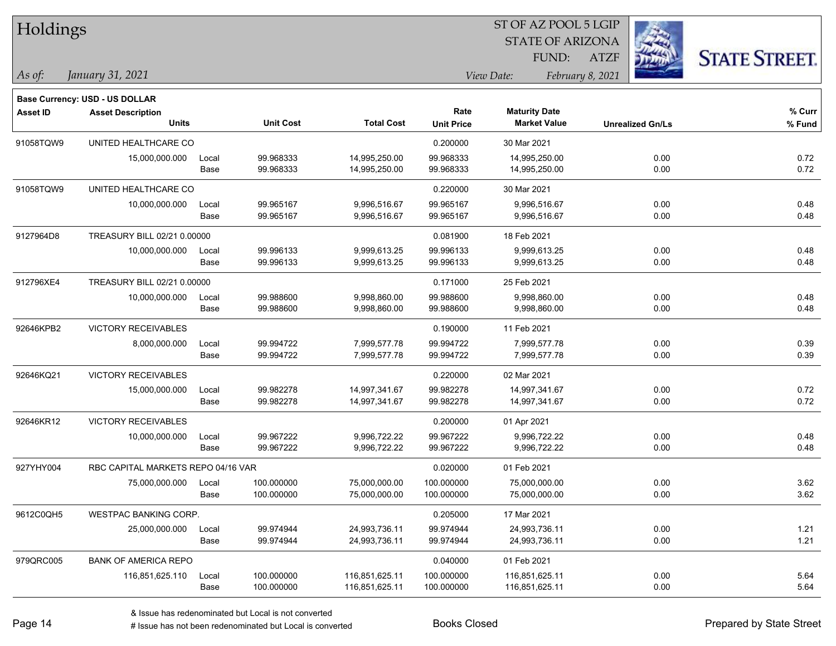| Holdings        |                                       |       |                  |                   |                   | ST OF AZ POOL 5 LGIP    |                         |                      |
|-----------------|---------------------------------------|-------|------------------|-------------------|-------------------|-------------------------|-------------------------|----------------------|
|                 |                                       |       |                  |                   |                   | <b>STATE OF ARIZONA</b> |                         |                      |
|                 |                                       |       |                  |                   |                   | FUND:                   | <b>ATZF</b>             | <b>STATE STREET.</b> |
| As of:          | January 31, 2021                      |       |                  |                   |                   | View Date:              | February 8, 2021        |                      |
|                 | <b>Base Currency: USD - US DOLLAR</b> |       |                  |                   |                   |                         |                         |                      |
| <b>Asset ID</b> | <b>Asset Description</b>              |       |                  |                   | Rate              | <b>Maturity Date</b>    |                         | % Curr               |
|                 | <b>Units</b>                          |       | <b>Unit Cost</b> | <b>Total Cost</b> | <b>Unit Price</b> | <b>Market Value</b>     | <b>Unrealized Gn/Ls</b> | % Fund               |
| 91058TQW9       | UNITED HEALTHCARE CO                  |       |                  |                   | 0.200000          | 30 Mar 2021             |                         |                      |
|                 | 15,000,000.000                        | Local | 99.968333        | 14,995,250.00     | 99.968333         | 14,995,250.00           | 0.00                    | 0.72                 |
|                 |                                       | Base  | 99.968333        | 14,995,250.00     | 99.968333         | 14,995,250.00           | 0.00                    | 0.72                 |
| 91058TQW9       | UNITED HEALTHCARE CO                  |       |                  |                   | 0.220000          | 30 Mar 2021             |                         |                      |
|                 | 10,000,000.000                        | Local | 99.965167        | 9,996,516.67      | 99.965167         | 9,996,516.67            | 0.00                    | 0.48                 |
|                 |                                       | Base  | 99.965167        | 9,996,516.67      | 99.965167         | 9,996,516.67            | 0.00                    | 0.48                 |
| 9127964D8       | TREASURY BILL 02/21 0.00000           |       |                  |                   | 0.081900          | 18 Feb 2021             |                         |                      |
|                 | 10,000,000.000                        | Local | 99.996133        | 9,999,613.25      | 99.996133         | 9,999,613.25            | 0.00                    | 0.48                 |
|                 |                                       | Base  | 99.996133        | 9,999,613.25      | 99.996133         | 9,999,613.25            | 0.00                    | 0.48                 |
| 912796XE4       | TREASURY BILL 02/21 0.00000           |       |                  |                   | 0.171000          | 25 Feb 2021             |                         |                      |
|                 | 10,000,000.000                        | Local | 99.988600        | 9,998,860.00      | 99.988600         | 9,998,860.00            | 0.00                    | 0.48                 |
|                 |                                       | Base  | 99.988600        | 9,998,860.00      | 99.988600         | 9,998,860.00            | 0.00                    | 0.48                 |
| 92646KPB2       | VICTORY RECEIVABLES                   |       |                  |                   | 0.190000          | 11 Feb 2021             |                         |                      |
|                 | 8,000,000.000                         | Local | 99.994722        | 7,999,577.78      | 99.994722         | 7,999,577.78            | 0.00                    | 0.39                 |
|                 |                                       | Base  | 99.994722        | 7,999,577.78      | 99.994722         | 7,999,577.78            | 0.00                    | 0.39                 |
| 92646KQ21       | <b>VICTORY RECEIVABLES</b>            |       |                  |                   | 0.220000          | 02 Mar 2021             |                         |                      |
|                 | 15,000,000.000                        | Local | 99.982278        | 14,997,341.67     | 99.982278         | 14,997,341.67           | 0.00                    | 0.72                 |
|                 |                                       | Base  | 99.982278        | 14,997,341.67     | 99.982278         | 14,997,341.67           | 0.00                    | 0.72                 |
| 92646KR12       | VICTORY RECEIVABLES                   |       |                  |                   | 0.200000          | 01 Apr 2021             |                         |                      |
|                 | 10,000,000.000                        | Local | 99.967222        | 9,996,722.22      | 99.967222         | 9,996,722.22            | 0.00                    | 0.48                 |
|                 |                                       | Base  | 99.967222        | 9,996,722.22      | 99.967222         | 9,996,722.22            | 0.00                    | 0.48                 |
| 927YHY004       | RBC CAPITAL MARKETS REPO 04/16 VAR    |       |                  |                   | 0.020000          | 01 Feb 2021             |                         |                      |
|                 | 75,000,000.000                        | Local | 100.000000       | 75,000,000.00     | 100.000000        | 75,000,000.00           | 0.00                    | 3.62                 |
|                 |                                       | Base  | 100.000000       | 75,000,000.00     | 100.000000        | 75,000,000.00           | 0.00                    | 3.62                 |
| 9612C0QH5       | <b>WESTPAC BANKING CORP.</b>          |       |                  |                   | 0.205000          | 17 Mar 2021             |                         |                      |
|                 | 25,000,000.000                        | Local | 99.974944        | 24,993,736.11     | 99.974944         | 24,993,736.11           | 0.00                    | 1.21                 |
|                 |                                       | Base  | 99.974944        | 24,993,736.11     | 99.974944         | 24,993,736.11           | 0.00                    | 1.21                 |
| 979QRC005       | <b>BANK OF AMERICA REPO</b>           |       |                  |                   | 0.040000          | 01 Feb 2021             |                         |                      |
|                 | 116,851,625.110                       | Local | 100.000000       | 116,851,625.11    | 100.000000        | 116,851,625.11          | 0.00                    | 5.64                 |
|                 |                                       | Base  | 100.000000       | 116,851,625.11    | 100.000000        | 116,851,625.11          | 0.00                    | 5.64                 |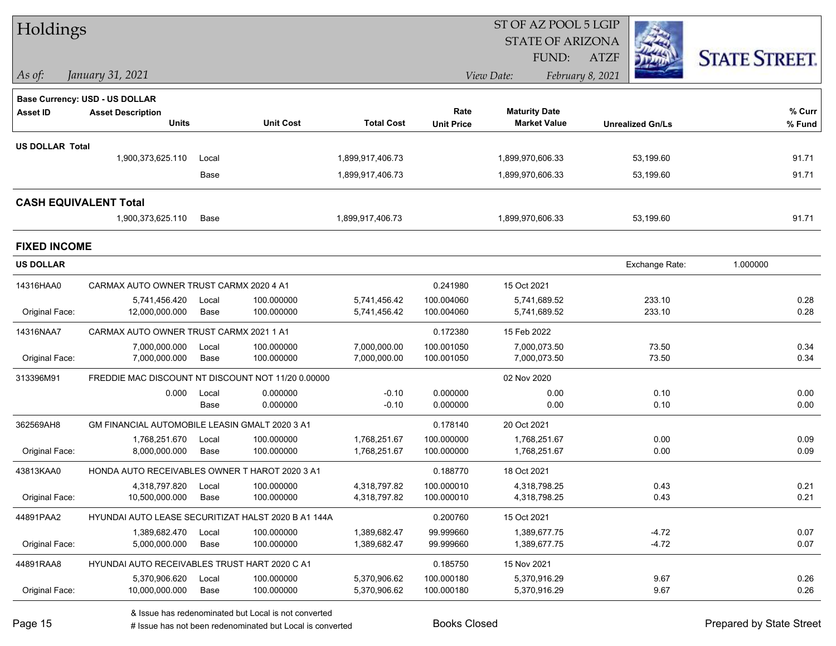| Holdings                     |                                                     |               |                          |                              |                          | ST OF AZ POOL 5 LGIP         |                         |                      |
|------------------------------|-----------------------------------------------------|---------------|--------------------------|------------------------------|--------------------------|------------------------------|-------------------------|----------------------|
|                              |                                                     |               |                          |                              |                          | <b>STATE OF ARIZONA</b>      |                         |                      |
|                              |                                                     |               |                          |                              |                          | <b>FUND:</b>                 | <b>ATZF</b>             | <b>STATE STREET.</b> |
| $\vert$ As of:               | January 31, 2021                                    |               |                          |                              |                          | View Date:                   | February 8, 2021        |                      |
|                              | Base Currency: USD - US DOLLAR                      |               |                          |                              |                          |                              |                         |                      |
| <b>Asset ID</b>              | <b>Asset Description</b>                            |               |                          |                              | Rate                     | <b>Maturity Date</b>         |                         | $%$ Curr             |
|                              | <b>Units</b>                                        |               | <b>Unit Cost</b>         | <b>Total Cost</b>            | <b>Unit Price</b>        | <b>Market Value</b>          | <b>Unrealized Gn/Ls</b> | % Fund               |
| <b>US DOLLAR Total</b>       |                                                     |               |                          |                              |                          |                              |                         |                      |
|                              | 1,900,373,625.110                                   | Local         |                          | 1,899,917,406.73             |                          | 1,899,970,606.33             | 53,199.60               | 91.71                |
|                              |                                                     | Base          |                          | 1,899,917,406.73             |                          | 1,899,970,606.33             | 53,199.60               | 91.71                |
| <b>CASH EQUIVALENT Total</b> |                                                     |               |                          |                              |                          |                              |                         |                      |
|                              | 1,900,373,625.110                                   | Base          |                          | 1,899,917,406.73             |                          | 1,899,970,606.33             | 53,199.60               | 91.71                |
| <b>FIXED INCOME</b>          |                                                     |               |                          |                              |                          |                              |                         |                      |
| <b>US DOLLAR</b>             |                                                     |               |                          |                              |                          |                              | Exchange Rate:          | 1.000000             |
| 14316HAA0                    | CARMAX AUTO OWNER TRUST CARMX 2020 4 A1             |               |                          |                              | 0.241980                 | 15 Oct 2021                  |                         |                      |
|                              | 5,741,456.420                                       | Local         | 100.000000               | 5,741,456.42                 | 100.004060               | 5,741,689.52                 | 233.10                  | 0.28                 |
| Original Face:               | 12,000,000.000                                      | Base          | 100.000000               | 5,741,456.42                 | 100.004060               | 5,741,689.52                 | 233.10                  | 0.28                 |
| 14316NAA7                    | CARMAX AUTO OWNER TRUST CARMX 2021 1 A1             |               |                          |                              | 0.172380                 | 15 Feb 2022                  |                         |                      |
| Original Face:               | 7,000,000.000<br>7,000,000.000                      | Local<br>Base | 100.000000<br>100.000000 | 7,000,000.00<br>7,000,000.00 | 100.001050<br>100.001050 | 7,000,073.50<br>7,000,073.50 | 73.50<br>73.50          | 0.34<br>0.34         |
|                              |                                                     |               |                          |                              |                          |                              |                         |                      |
| 313396M91                    | FREDDIE MAC DISCOUNT NT DISCOUNT NOT 11/20 0.00000  |               |                          |                              |                          | 02 Nov 2020                  |                         |                      |
|                              | 0.000                                               | Local<br>Base | 0.000000<br>0.000000     | $-0.10$<br>$-0.10$           | 0.000000<br>0.000000     | 0.00<br>0.00                 | 0.10<br>0.10            | 0.00<br>0.00         |
| 362569AH8                    | GM FINANCIAL AUTOMOBILE LEASIN GMALT 2020 3 A1      |               |                          |                              | 0.178140                 | 20 Oct 2021                  |                         |                      |
|                              | 1,768,251.670                                       | Local         | 100.000000               | 1,768,251.67                 | 100.000000               | 1,768,251.67                 | 0.00                    | 0.09                 |
| Original Face:               | 8,000,000.000                                       | Base          | 100.000000               | 1,768,251.67                 | 100.000000               | 1,768,251.67                 | 0.00                    | 0.09                 |
| 43813KAA0                    | HONDA AUTO RECEIVABLES OWNER T HAROT 2020 3 A1      |               |                          |                              | 0.188770                 | 18 Oct 2021                  |                         |                      |
|                              | 4,318,797.820 Local                                 |               | 100.000000               | 4,318,797.82                 | 100.000010               | 4,318,798.25                 | 0.43                    | 0.21                 |
| Original Face:               | 10,500,000.000                                      | Base          | 100.000000               | 4,318,797.82                 | 100.000010               | 4,318,798.25                 | 0.43                    | 0.21                 |
| 44891PAA2                    | HYUNDAI AUTO LEASE SECURITIZAT HALST 2020 B A1 144A |               |                          |                              | 0.200760                 | 15 Oct 2021                  |                         |                      |
|                              | 1,389,682.470                                       | Local         | 100.000000               | 1,389,682.47                 | 99.999660                | 1,389,677.75                 | $-4.72$                 | 0.07                 |
| Original Face:               | 5,000,000.000                                       | Base          | 100.000000               | 1,389,682.47                 | 99.999660                | 1,389,677.75                 | $-4.72$                 | 0.07                 |
| 44891RAA8                    | HYUNDAI AUTO RECEIVABLES TRUST HART 2020 C A1       |               |                          |                              | 0.185750                 | 15 Nov 2021                  |                         |                      |
| Original Face:               | 5,370,906.620<br>10,000,000.000                     | Local<br>Base | 100.000000<br>100.000000 | 5,370,906.62<br>5,370,906.62 | 100.000180<br>100.000180 | 5,370,916.29<br>5,370,916.29 | 9.67<br>9.67            | 0.26<br>0.26         |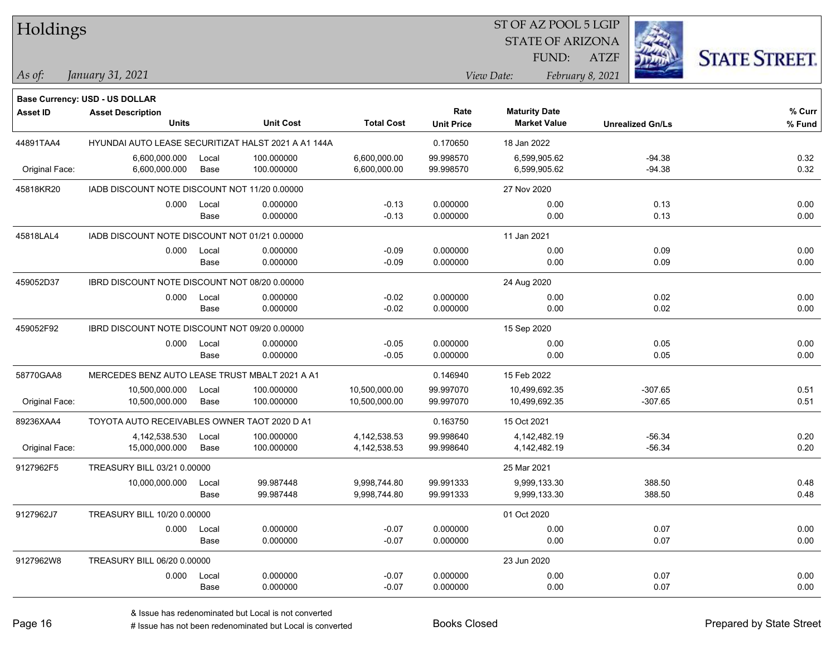| Holdings       |                                                |       |                                                     |                   |                   | ST OF AZ POOL 5 LGIP    |                         |                      |
|----------------|------------------------------------------------|-------|-----------------------------------------------------|-------------------|-------------------|-------------------------|-------------------------|----------------------|
|                |                                                |       |                                                     |                   |                   | <b>STATE OF ARIZONA</b> |                         |                      |
|                |                                                |       |                                                     |                   |                   | FUND:                   | <b>ATZF</b>             | <b>STATE STREET.</b> |
| As of:         | January 31, 2021                               |       |                                                     |                   |                   | View Date:              | February 8, 2021        |                      |
|                | <b>Base Currency: USD - US DOLLAR</b>          |       |                                                     |                   |                   |                         |                         |                      |
| Asset ID       | <b>Asset Description</b>                       |       |                                                     |                   | Rate              | <b>Maturity Date</b>    |                         | $%$ Curr             |
|                | <b>Units</b>                                   |       | <b>Unit Cost</b>                                    | <b>Total Cost</b> | <b>Unit Price</b> | <b>Market Value</b>     | <b>Unrealized Gn/Ls</b> | % Fund               |
| 44891TAA4      |                                                |       | HYUNDAI AUTO LEASE SECURITIZAT HALST 2021 A A1 144A |                   | 0.170650          | 18 Jan 2022             |                         |                      |
|                | 6,600,000.000                                  | Local | 100.000000                                          | 6,600,000.00      | 99.998570         | 6,599,905.62            | $-94.38$                | 0.32                 |
| Original Face: | 6,600,000.000                                  | Base  | 100.000000                                          | 6,600,000.00      | 99.998570         | 6,599,905.62            | $-94.38$                | 0.32                 |
| 45818KR20      | IADB DISCOUNT NOTE DISCOUNT NOT 11/20 0.00000  |       |                                                     |                   |                   | 27 Nov 2020             |                         |                      |
|                | 0.000                                          | Local | 0.000000                                            | $-0.13$           | 0.000000          | 0.00                    | 0.13                    | 0.00                 |
|                |                                                | Base  | 0.000000                                            | $-0.13$           | 0.000000          | 0.00                    | 0.13                    | 0.00                 |
| 45818LAL4      | IADB DISCOUNT NOTE DISCOUNT NOT 01/21 0.00000  |       |                                                     |                   |                   | 11 Jan 2021             |                         |                      |
|                | 0.000                                          | Local | 0.000000                                            | $-0.09$           | 0.000000          | 0.00                    | 0.09                    | 0.00                 |
|                |                                                | Base  | 0.000000                                            | $-0.09$           | 0.000000          | 0.00                    | 0.09                    | 0.00                 |
| 459052D37      | IBRD DISCOUNT NOTE DISCOUNT NOT 08/20 0.00000  |       |                                                     |                   |                   | 24 Aug 2020             |                         |                      |
|                | 0.000                                          | Local | 0.000000                                            | $-0.02$           | 0.000000          | 0.00                    | 0.02                    | 0.00                 |
|                |                                                | Base  | 0.000000                                            | $-0.02$           | 0.000000          | 0.00                    | 0.02                    | 0.00                 |
| 459052F92      | IBRD DISCOUNT NOTE DISCOUNT NOT 09/20 0.00000  |       |                                                     |                   |                   | 15 Sep 2020             |                         |                      |
|                | 0.000                                          | Local | 0.000000                                            | $-0.05$           | 0.000000          | 0.00                    | 0.05                    | 0.00                 |
|                |                                                | Base  | 0.000000                                            | $-0.05$           | 0.000000          | 0.00                    | 0.05                    | 0.00                 |
| 58770GAA8      | MERCEDES BENZ AUTO LEASE TRUST MBALT 2021 A A1 |       |                                                     |                   | 0.146940          | 15 Feb 2022             |                         |                      |
|                | 10,500,000.000                                 | Local | 100.000000                                          | 10,500,000.00     | 99.997070         | 10,499,692.35           | $-307.65$               | 0.51                 |
| Original Face: | 10,500,000.000                                 | Base  | 100.000000                                          | 10,500,000.00     | 99.997070         | 10,499,692.35           | $-307.65$               | 0.51                 |
| 89236XAA4      | TOYOTA AUTO RECEIVABLES OWNER TAOT 2020 D A1   |       |                                                     |                   | 0.163750          | 15 Oct 2021             |                         |                      |
|                | 4,142,538.530                                  | Local | 100.000000                                          | 4,142,538.53      | 99.998640         | 4,142,482.19            | $-56.34$                | 0.20                 |
| Original Face: | 15,000,000.000                                 | Base  | 100.000000                                          | 4, 142, 538.53    | 99.998640         | 4,142,482.19            | $-56.34$                | 0.20                 |
| 9127962F5      | TREASURY BILL 03/21 0.00000                    |       |                                                     |                   |                   | 25 Mar 2021             |                         |                      |
|                | 10,000,000.000                                 | Local | 99.987448                                           | 9,998,744.80      | 99.991333         | 9,999,133.30            | 388.50                  | 0.48                 |
|                |                                                | Base  | 99.987448                                           | 9,998,744.80      | 99.991333         | 9,999,133.30            | 388.50                  | 0.48                 |
| 9127962J7      | TREASURY BILL 10/20 0.00000                    |       |                                                     |                   |                   | 01 Oct 2020             |                         |                      |
|                | 0.000                                          | Local | 0.000000                                            | $-0.07$           | 0.000000          | 0.00                    | 0.07                    | 0.00                 |
|                |                                                | Base  | 0.000000                                            | $-0.07$           | 0.000000          | 0.00                    | 0.07                    | 0.00                 |
| 9127962W8      | TREASURY BILL 06/20 0.00000                    |       |                                                     |                   |                   | 23 Jun 2020             |                         |                      |
|                | 0.000                                          | Local | 0.000000                                            | $-0.07$           | 0.000000          | 0.00                    | 0.07                    | 0.00                 |
|                |                                                | Base  | 0.000000                                            | $-0.07$           | 0.000000          | 0.00                    | 0.07                    | 0.00                 |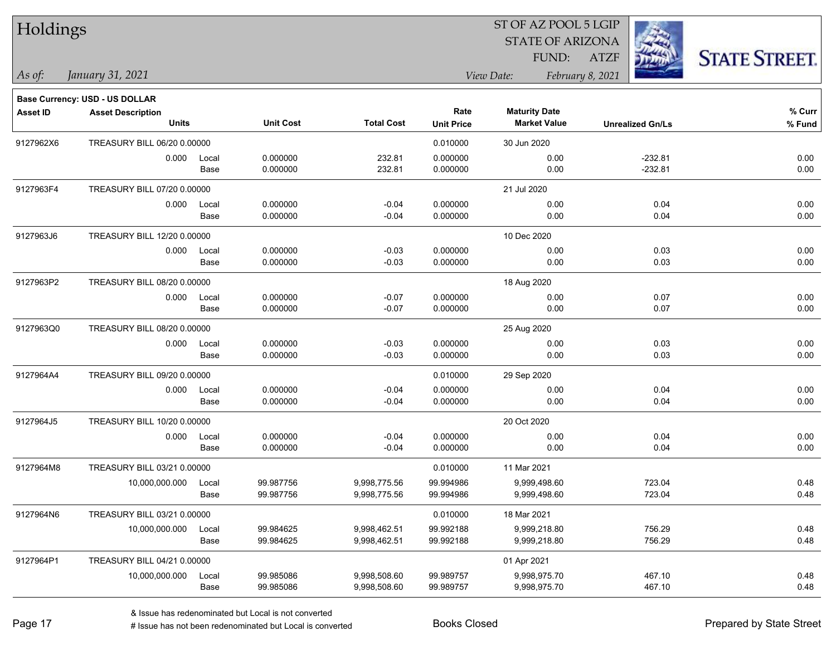| Holdings        |                                          |       |                  |                   |                           | SI OF AZ POOL 5 LGIP                        |                         |                     |
|-----------------|------------------------------------------|-------|------------------|-------------------|---------------------------|---------------------------------------------|-------------------------|---------------------|
|                 |                                          |       |                  |                   |                           | <b>STATE OF ARIZONA</b>                     |                         |                     |
|                 |                                          |       |                  |                   |                           | FUND:                                       | <b>ATZF</b>             | <b>STATE STREET</b> |
| As of:          | January 31, 2021                         |       |                  |                   |                           | View Date:                                  | February 8, 2021        |                     |
|                 | <b>Base Currency: USD - US DOLLAR</b>    |       |                  |                   |                           |                                             |                         |                     |
| <b>Asset ID</b> | <b>Asset Description</b><br><b>Units</b> |       | <b>Unit Cost</b> | <b>Total Cost</b> | Rate<br><b>Unit Price</b> | <b>Maturity Date</b><br><b>Market Value</b> | <b>Unrealized Gn/Ls</b> | % Curr<br>% Fund    |
| 9127962X6       | TREASURY BILL 06/20 0.00000              |       |                  |                   | 0.010000                  | 30 Jun 2020                                 |                         |                     |
|                 | 0.000                                    | Local | 0.000000         | 232.81            | 0.000000                  | 0.00                                        | $-232.81$               | 0.00                |
|                 |                                          | Base  | 0.000000         | 232.81            | 0.000000                  | 0.00                                        | $-232.81$               | 0.00                |
| 9127963F4       | TREASURY BILL 07/20 0.00000              |       |                  |                   |                           | 21 Jul 2020                                 |                         |                     |
|                 | 0.000                                    | Local | 0.000000         | $-0.04$           | 0.000000                  | 0.00                                        | 0.04                    | 0.00                |
|                 |                                          | Base  | 0.000000         | $-0.04$           | 0.000000                  | 0.00                                        | 0.04                    | 0.00                |
| 9127963J6       | TREASURY BILL 12/20 0.00000              |       |                  |                   |                           | 10 Dec 2020                                 |                         |                     |
|                 | 0.000                                    | Local | 0.000000         | $-0.03$           | 0.000000                  | 0.00                                        | 0.03                    | 0.00                |
|                 |                                          | Base  | 0.000000         | $-0.03$           | 0.000000                  | 0.00                                        | 0.03                    | 0.00                |
| 9127963P2       | TREASURY BILL 08/20 0.00000              |       |                  |                   |                           | 18 Aug 2020                                 |                         |                     |
|                 | 0.000                                    | Local | 0.000000         | $-0.07$           | 0.000000                  | 0.00                                        | 0.07                    | 0.00                |
|                 |                                          | Base  | 0.000000         | $-0.07$           | 0.000000                  | 0.00                                        | 0.07                    | 0.00                |
| 9127963Q0       | TREASURY BILL 08/20 0.00000              |       |                  |                   |                           | 25 Aug 2020                                 |                         |                     |
|                 | 0.000                                    | Local | 0.000000         | $-0.03$           | 0.000000                  | 0.00                                        | 0.03                    | 0.00                |
|                 |                                          | Base  | 0.000000         | $-0.03$           | 0.000000                  | 0.00                                        | 0.03                    | 0.00                |
| 9127964A4       | TREASURY BILL 09/20 0.00000              |       |                  |                   | 0.010000                  | 29 Sep 2020                                 |                         |                     |
|                 | 0.000                                    | Local | 0.000000         | $-0.04$           | 0.000000                  | 0.00                                        | 0.04                    | 0.00                |
|                 |                                          | Base  | 0.000000         | $-0.04$           | 0.000000                  | 0.00                                        | 0.04                    | 0.00                |
| 9127964J5       | TREASURY BILL 10/20 0.00000              |       |                  |                   |                           | 20 Oct 2020                                 |                         |                     |
|                 | 0.000                                    | Local | 0.000000         | $-0.04$           | 0.000000                  | 0.00                                        | 0.04                    | 0.00                |
|                 |                                          | Base  | 0.000000         | $-0.04$           | 0.000000                  | 0.00                                        | 0.04                    | 0.00                |
| 9127964M8       | TREASURY BILL 03/21 0.00000              |       |                  |                   | 0.010000                  | 11 Mar 2021                                 |                         |                     |
|                 | 10,000,000.000                           | Local | 99.987756        | 9,998,775.56      | 99.994986                 | 9,999,498.60                                | 723.04                  | 0.48                |
|                 |                                          | Base  | 99.987756        | 9,998,775.56      | 99.994986                 | 9,999,498.60                                | 723.04                  | 0.48                |
| 9127964N6       | TREASURY BILL 03/21 0.00000              |       |                  |                   | 0.010000                  | 18 Mar 2021                                 |                         |                     |
|                 | 10,000,000.000                           | Local | 99.984625        | 9,998,462.51      | 99.992188                 | 9,999,218.80                                | 756.29                  | 0.48                |
|                 |                                          | Base  | 99.984625        | 9,998,462.51      | 99.992188                 | 9,999,218.80                                | 756.29                  | 0.48                |
| 9127964P1       | TREASURY BILL 04/21 0.00000              |       |                  |                   |                           | 01 Apr 2021                                 |                         |                     |
|                 | 10,000,000.000                           | Local | 99.985086        | 9,998,508.60      | 99.989757                 | 9,998,975.70                                | 467.10                  | 0.48                |
|                 |                                          | Base  | 99.985086        | 9,998,508.60      | 99.989757                 | 9,998,975.70                                | 467.10                  | 0.48                |

 $\overline{S}$   $\overline{S}$   $\overline{S}$   $\overline{S}$   $\overline{S}$   $\overline{S}$   $\overline{S}$   $\overline{S}$   $\overline{S}$   $\overline{S}$   $\overline{S}$   $\overline{S}$   $\overline{S}$   $\overline{S}$   $\overline{S}$   $\overline{S}$   $\overline{S}$   $\overline{S}$   $\overline{S}$   $\overline{S}$   $\overline{S}$   $\overline{S}$   $\overline{S}$   $\overline{S}$   $\overline{$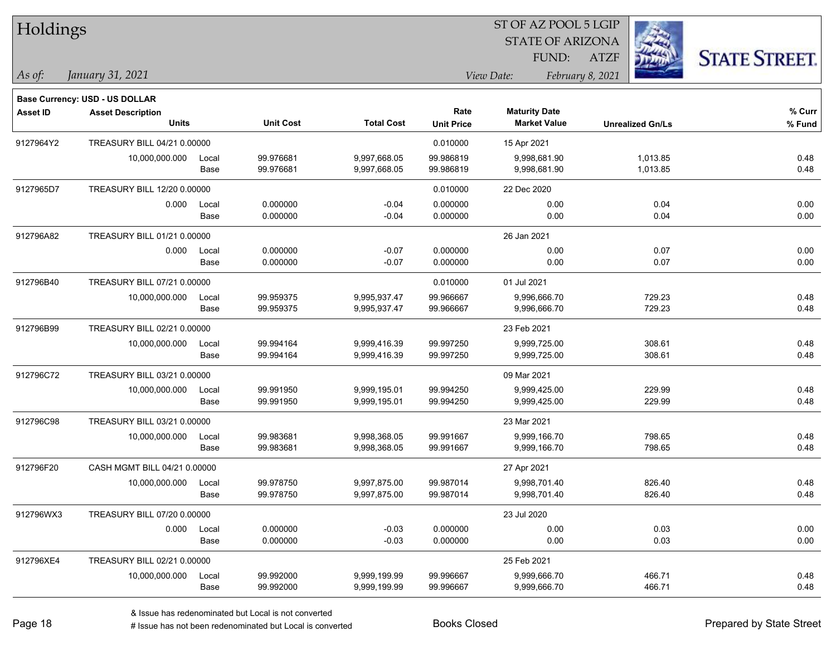| Holdings        |                                |       |                  |                   |                   | ST OF AZ POOL 5 LGIP    |                         |                      |
|-----------------|--------------------------------|-------|------------------|-------------------|-------------------|-------------------------|-------------------------|----------------------|
|                 |                                |       |                  |                   |                   | <b>STATE OF ARIZONA</b> |                         |                      |
|                 |                                |       |                  |                   |                   | FUND:                   | <b>ATZF</b>             | <b>STATE STREET.</b> |
| As of:          | January 31, 2021               |       |                  |                   |                   | View Date:              | February 8, 2021        |                      |
|                 | Base Currency: USD - US DOLLAR |       |                  |                   |                   |                         |                         |                      |
| <b>Asset ID</b> | <b>Asset Description</b>       |       |                  |                   | Rate              | <b>Maturity Date</b>    |                         | % Curr               |
|                 | <b>Units</b>                   |       | <b>Unit Cost</b> | <b>Total Cost</b> | <b>Unit Price</b> | <b>Market Value</b>     | <b>Unrealized Gn/Ls</b> | $%$ Fund             |
| 9127964Y2       | TREASURY BILL 04/21 0.00000    |       |                  |                   | 0.010000          | 15 Apr 2021             |                         |                      |
|                 | 10,000,000.000                 | Local | 99.976681        | 9,997,668.05      | 99.986819         | 9,998,681.90            | 1,013.85                | 0.48                 |
|                 |                                | Base  | 99.976681        | 9,997,668.05      | 99.986819         | 9,998,681.90            | 1,013.85                | 0.48                 |
| 9127965D7       | TREASURY BILL 12/20 0.00000    |       |                  |                   | 0.010000          | 22 Dec 2020             |                         |                      |
|                 | 0.000                          | Local | 0.000000         | $-0.04$           | 0.000000          | 0.00                    | 0.04                    | 0.00                 |
|                 |                                | Base  | 0.000000         | $-0.04$           | 0.000000          | 0.00                    | 0.04                    | 0.00                 |
| 912796A82       | TREASURY BILL 01/21 0.00000    |       |                  |                   |                   | 26 Jan 2021             |                         |                      |
|                 | 0.000                          | Local | 0.000000         | $-0.07$           | 0.000000          | 0.00                    | 0.07                    | 0.00                 |
|                 |                                | Base  | 0.000000         | $-0.07$           | 0.000000          | 0.00                    | 0.07                    | 0.00                 |
| 912796B40       | TREASURY BILL 07/21 0.00000    |       |                  |                   | 0.010000          | 01 Jul 2021             |                         |                      |
|                 | 10,000,000.000                 | Local | 99.959375        | 9,995,937.47      | 99.966667         | 9,996,666.70            | 729.23                  | 0.48                 |
|                 |                                | Base  | 99.959375        | 9,995,937.47      | 99.966667         | 9,996,666.70            | 729.23                  | 0.48                 |
| 912796B99       | TREASURY BILL 02/21 0.00000    |       |                  |                   |                   | 23 Feb 2021             |                         |                      |
|                 | 10,000,000.000                 | Local | 99.994164        | 9,999,416.39      | 99.997250         | 9,999,725.00            | 308.61                  | 0.48                 |
|                 |                                | Base  | 99.994164        | 9,999,416.39      | 99.997250         | 9,999,725.00            | 308.61                  | 0.48                 |
| 912796C72       | TREASURY BILL 03/21 0.00000    |       |                  |                   |                   | 09 Mar 2021             |                         |                      |
|                 | 10,000,000.000                 | Local | 99.991950        | 9,999,195.01      | 99.994250         | 9,999,425.00            | 229.99                  | 0.48                 |
|                 |                                | Base  | 99.991950        | 9,999,195.01      | 99.994250         | 9,999,425.00            | 229.99                  | 0.48                 |
| 912796C98       | TREASURY BILL 03/21 0.00000    |       |                  |                   |                   | 23 Mar 2021             |                         |                      |
|                 | 10,000,000.000                 | Local | 99.983681        | 9,998,368.05      | 99.991667         | 9,999,166.70            | 798.65                  | 0.48                 |
|                 |                                | Base  | 99.983681        | 9,998,368.05      | 99.991667         | 9,999,166.70            | 798.65                  | 0.48                 |
| 912796F20       | CASH MGMT BILL 04/21 0.00000   |       |                  |                   |                   | 27 Apr 2021             |                         |                      |
|                 | 10,000,000.000                 | Local | 99.978750        | 9,997,875.00      | 99.987014         | 9,998,701.40            | 826.40                  | 0.48                 |
|                 |                                | Base  | 99.978750        | 9,997,875.00      | 99.987014         | 9,998,701.40            | 826.40                  | 0.48                 |
| 912796WX3       | TREASURY BILL 07/20 0.00000    |       |                  |                   |                   | 23 Jul 2020             |                         |                      |
|                 | 0.000                          | Local | 0.000000         | $-0.03$           | 0.000000          | 0.00                    | 0.03                    | 0.00                 |
|                 |                                | Base  | 0.000000         | $-0.03$           | 0.000000          | 0.00                    | 0.03                    | 0.00                 |
| 912796XE4       | TREASURY BILL 02/21 0.00000    |       |                  |                   |                   | 25 Feb 2021             |                         |                      |
|                 | 10,000,000.000                 | Local | 99.992000        | 9,999,199.99      | 99.996667         | 9,999,666.70            | 466.71                  | 0.48                 |
|                 |                                | Base  | 99.992000        | 9,999,199.99      | 99.996667         | 9,999,666.70            | 466.71                  | 0.48                 |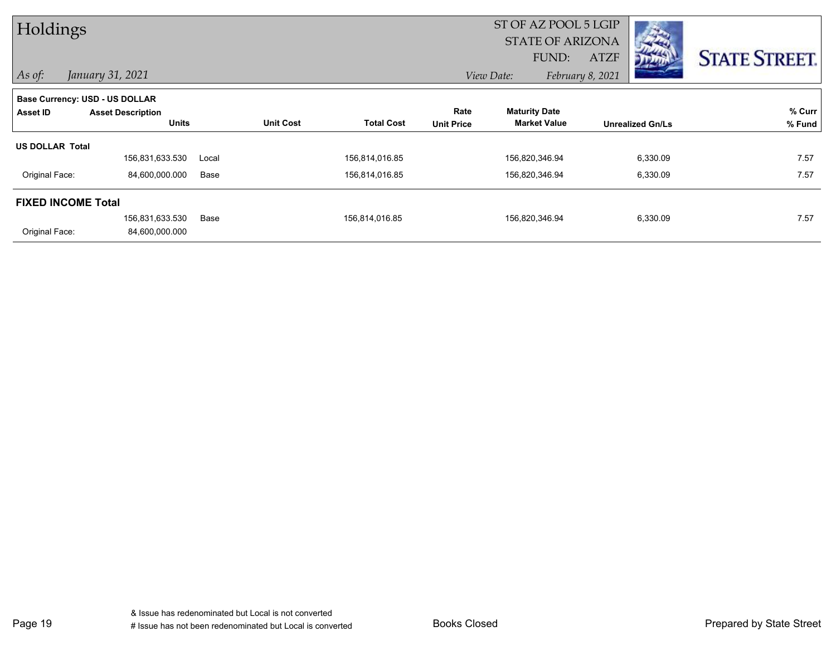| Holdings                  |                                       |       |                  |                   |                         | ST OF AZ POOL 5 LGIP |                  |                                                                                                                                                                                                                                            |                      |
|---------------------------|---------------------------------------|-------|------------------|-------------------|-------------------------|----------------------|------------------|--------------------------------------------------------------------------------------------------------------------------------------------------------------------------------------------------------------------------------------------|----------------------|
|                           |                                       |       |                  |                   | <b>STATE OF ARIZONA</b> |                      |                  | $\label{eq:2} \mathbb{E} \left[ \left\langle \mathcal{F}_{\mathcal{A}} \right\rangle \right] \mathcal{F}_{\mathcal{A}} \right] = \mathbb{E} \left[ \left\langle \mathcal{F}_{\mathcal{A}} \right\rangle \mathcal{F}_{\mathcal{A}} \right]$ |                      |
|                           |                                       |       |                  |                   |                         | FUND:                | <b>ATZF</b>      | מיית                                                                                                                                                                                                                                       | <b>STATE STREET.</b> |
| $\vert$ As of:            | January 31, 2021                      |       |                  |                   |                         | View Date:           | February 8, 2021 |                                                                                                                                                                                                                                            |                      |
|                           | <b>Base Currency: USD - US DOLLAR</b> |       |                  |                   |                         |                      |                  |                                                                                                                                                                                                                                            |                      |
| <b>Asset ID</b>           | <b>Asset Description</b>              |       |                  |                   | Rate                    | <b>Maturity Date</b> |                  |                                                                                                                                                                                                                                            | % Curr               |
|                           | <b>Units</b>                          |       | <b>Unit Cost</b> | <b>Total Cost</b> | <b>Unit Price</b>       | <b>Market Value</b>  |                  | <b>Unrealized Gn/Ls</b>                                                                                                                                                                                                                    | % Fund               |
| <b>US DOLLAR Total</b>    |                                       |       |                  |                   |                         |                      |                  |                                                                                                                                                                                                                                            |                      |
|                           | 156,831,633.530                       | Local |                  | 156,814,016.85    |                         | 156,820,346.94       |                  | 6,330.09                                                                                                                                                                                                                                   | 7.57                 |
| Original Face:            | 84,600,000.000                        | Base  |                  | 156,814,016.85    |                         | 156,820,346.94       |                  | 6,330.09                                                                                                                                                                                                                                   | 7.57                 |
| <b>FIXED INCOME Total</b> |                                       |       |                  |                   |                         |                      |                  |                                                                                                                                                                                                                                            |                      |
|                           | 156,831,633.530                       | Base  |                  | 156,814,016.85    |                         | 156,820,346.94       |                  | 6,330.09                                                                                                                                                                                                                                   | 7.57                 |
| Original Face:            | 84,600,000.000                        |       |                  |                   |                         |                      |                  |                                                                                                                                                                                                                                            |                      |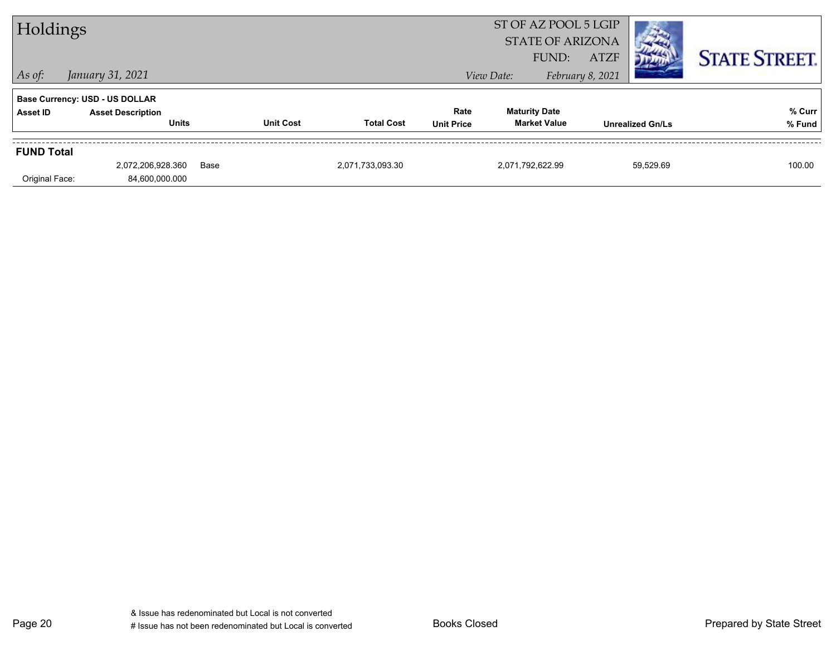| Holdings          |                                          |      |                  |                   |                           | ST OF AZ POOL 5 LGIP<br><b>STATE OF ARIZONA</b><br>FUND: | <b>ATZF</b>      |                         | <b>STATE STREET.</b> |
|-------------------|------------------------------------------|------|------------------|-------------------|---------------------------|----------------------------------------------------------|------------------|-------------------------|----------------------|
| $\vert$ As of:    | January 31, 2021                         |      |                  |                   |                           | View Date:                                               | February 8, 2021 |                         |                      |
|                   | <b>Base Currency: USD - US DOLLAR</b>    |      |                  |                   |                           |                                                          |                  |                         |                      |
| Asset ID          | <b>Asset Description</b><br><b>Units</b> |      | <b>Unit Cost</b> | <b>Total Cost</b> | Rate<br><b>Unit Price</b> | <b>Maturity Date</b><br><b>Market Value</b>              |                  | <b>Unrealized Gn/Ls</b> | % Curr<br>% Fund     |
| <b>FUND Total</b> |                                          |      |                  |                   |                           |                                                          |                  |                         |                      |
| Original Face:    | 2,072,206,928.360<br>84,600,000.000      | Base |                  | 2,071,733,093.30  |                           | 2,071,792,622.99                                         |                  | 59,529.69               | 100.00               |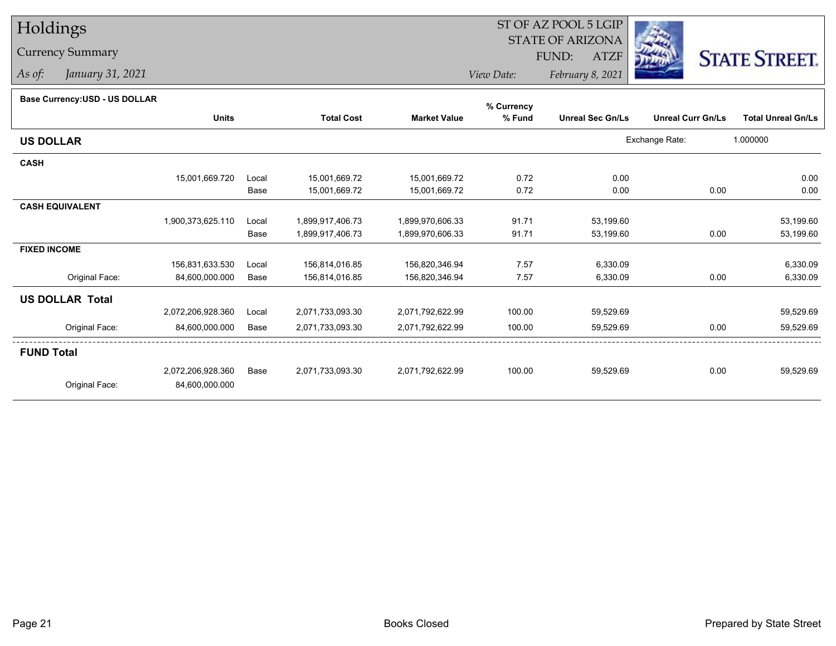## Holdings

## Currency Summary

*As of: January 31, 2021*

## ST OF AZ POOL 5 LGIP STATE OF ARIZONAATZF FUND:



*View Date:February 8, 2021*

## **Base Currency:USD - US DOLLAR**

|                        |                   |       |                   |                     | % Currency |                         |                          |                           |
|------------------------|-------------------|-------|-------------------|---------------------|------------|-------------------------|--------------------------|---------------------------|
|                        | <b>Units</b>      |       | <b>Total Cost</b> | <b>Market Value</b> | % Fund     | <b>Unreal Sec Gn/Ls</b> | <b>Unreal Curr Gn/Ls</b> | <b>Total Unreal Gn/Ls</b> |
| <b>US DOLLAR</b>       |                   |       |                   |                     |            |                         | Exchange Rate:           | 1.000000                  |
| <b>CASH</b>            |                   |       |                   |                     |            |                         |                          |                           |
|                        | 15,001,669.720    | Local | 15,001,669.72     | 15,001,669.72       | 0.72       | 0.00                    |                          | 0.00                      |
|                        |                   | Base  | 15,001,669.72     | 15,001,669.72       | 0.72       | 0.00                    | 0.00                     | 0.00                      |
| <b>CASH EQUIVALENT</b> |                   |       |                   |                     |            |                         |                          |                           |
|                        | 1,900,373,625.110 | Local | 1,899,917,406.73  | 1,899,970,606.33    | 91.71      | 53,199.60               |                          | 53,199.60                 |
|                        |                   | Base  | 1,899,917,406.73  | 1,899,970,606.33    | 91.71      | 53,199.60               | 0.00                     | 53,199.60                 |
| <b>FIXED INCOME</b>    |                   |       |                   |                     |            |                         |                          |                           |
|                        | 156,831,633.530   | Local | 156,814,016.85    | 156,820,346.94      | 7.57       | 6,330.09                |                          | 6,330.09                  |
| Original Face:         | 84,600,000.000    | Base  | 156,814,016.85    | 156,820,346.94      | 7.57       | 6,330.09                | 0.00                     | 6,330.09                  |
| <b>US DOLLAR Total</b> |                   |       |                   |                     |            |                         |                          |                           |
|                        | 2,072,206,928.360 | Local | 2,071,733,093.30  | 2,071,792,622.99    | 100.00     | 59,529.69               |                          | 59,529.69                 |
| Original Face:         | 84,600,000.000    | Base  | 2,071,733,093.30  | 2,071,792,622.99    | 100.00     | 59,529.69               | 0.00                     | 59,529.69                 |
| <b>FUND Total</b>      |                   |       |                   |                     |            |                         |                          |                           |
|                        | 2,072,206,928.360 | Base  | 2,071,733,093.30  | 2,071,792,622.99    | 100.00     | 59,529.69               | 0.00                     | 59,529.69                 |
| Original Face:         | 84,600,000.000    |       |                   |                     |            |                         |                          |                           |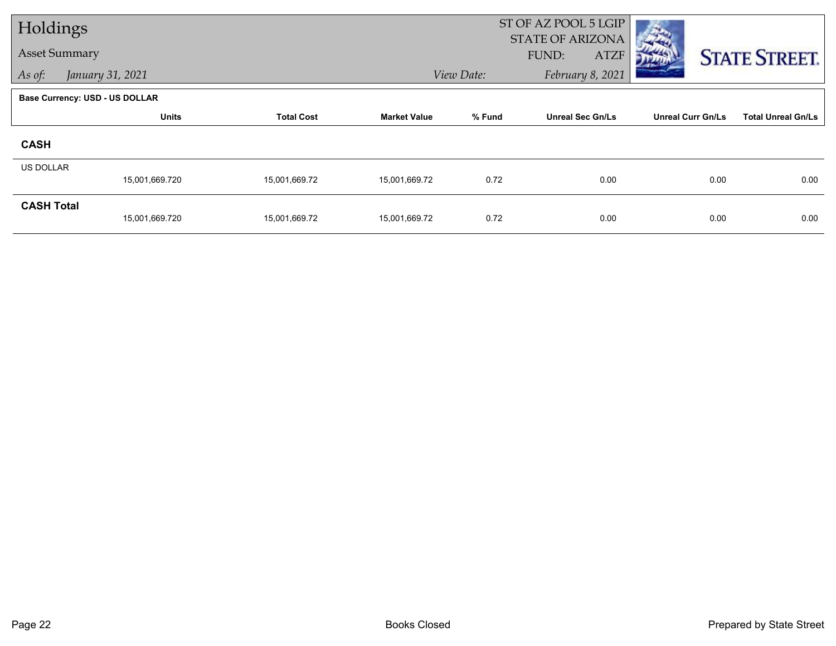| Holdings             |                                       |                   |                     |            | ST OF AZ POOL 5 LGIP<br><b>STATE OF ARIZONA</b> |                          |                           |
|----------------------|---------------------------------------|-------------------|---------------------|------------|-------------------------------------------------|--------------------------|---------------------------|
| <b>Asset Summary</b> |                                       |                   |                     |            | FUND:<br><b>ATZF</b>                            |                          | <b>STATE STREET.</b>      |
| As of:               | January 31, 2021                      |                   |                     | View Date: | February 8, 2021                                |                          |                           |
|                      | <b>Base Currency: USD - US DOLLAR</b> |                   |                     |            |                                                 |                          |                           |
|                      | <b>Units</b>                          | <b>Total Cost</b> | <b>Market Value</b> | % Fund     | <b>Unreal Sec Gn/Ls</b>                         | <b>Unreal Curr Gn/Ls</b> | <b>Total Unreal Gn/Ls</b> |
| <b>CASH</b>          |                                       |                   |                     |            |                                                 |                          |                           |
| <b>US DOLLAR</b>     | 15,001,669.720                        | 15,001,669.72     | 15,001,669.72       | 0.72       | 0.00                                            | 0.00                     | 0.00                      |
| <b>CASH Total</b>    | 15,001,669.720                        | 15,001,669.72     | 15,001,669.72       | 0.72       | 0.00                                            | 0.00                     | 0.00                      |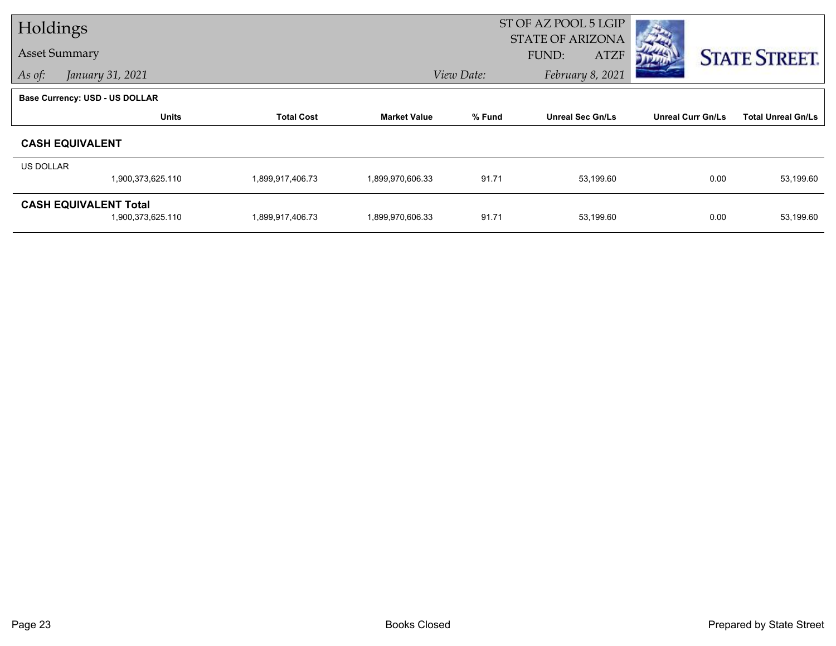| Holdings             |                                                   |                   |                     |            | ST OF AZ POOL 5 LGIP<br><b>STATE OF ARIZONA</b> |                          |                           |
|----------------------|---------------------------------------------------|-------------------|---------------------|------------|-------------------------------------------------|--------------------------|---------------------------|
| <b>Asset Summary</b> |                                                   |                   |                     |            | FUND:<br><b>ATZF</b>                            |                          | <b>STATE STREET.</b>      |
| As of:               | January 31, 2021                                  |                   |                     | View Date: | February 8, 2021                                |                          |                           |
|                      | <b>Base Currency: USD - US DOLLAR</b>             |                   |                     |            |                                                 |                          |                           |
|                      | <b>Units</b>                                      | <b>Total Cost</b> | <b>Market Value</b> | % Fund     | <b>Unreal Sec Gn/Ls</b>                         | <b>Unreal Curr Gn/Ls</b> | <b>Total Unreal Gn/Ls</b> |
|                      | <b>CASH EQUIVALENT</b>                            |                   |                     |            |                                                 |                          |                           |
| <b>US DOLLAR</b>     |                                                   |                   |                     |            |                                                 |                          |                           |
|                      | 1,900,373,625.110                                 | 1,899,917,406.73  | 1,899,970,606.33    | 91.71      | 53,199.60                                       | 0.00                     | 53,199.60                 |
|                      | <b>CASH EQUIVALENT Total</b><br>1,900,373,625.110 | 1,899,917,406.73  | 1,899,970,606.33    | 91.71      | 53,199.60                                       | 0.00                     | 53,199.60                 |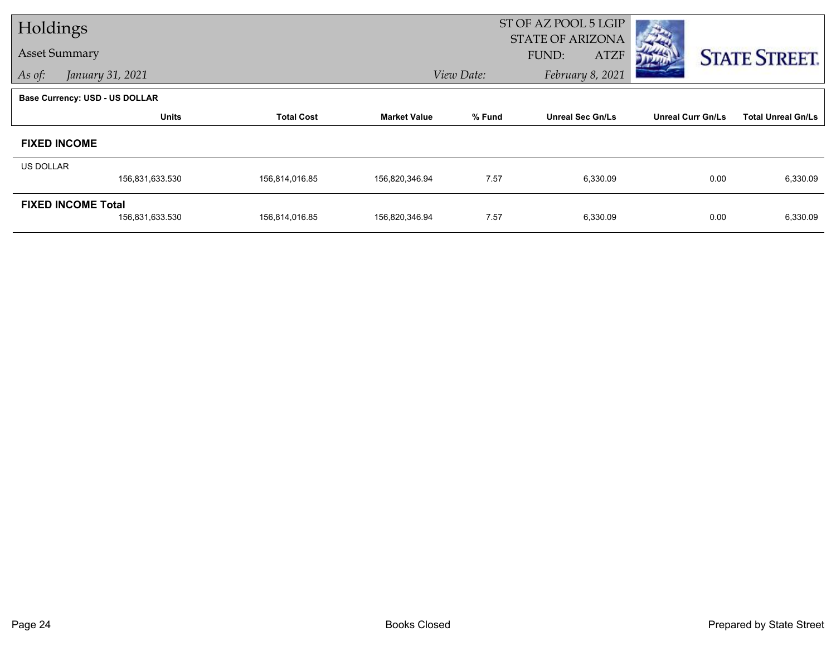| Holdings             |                                              |                   |                     |            | ST OF AZ POOL 5 LGIP                            |                          |                           |
|----------------------|----------------------------------------------|-------------------|---------------------|------------|-------------------------------------------------|--------------------------|---------------------------|
| <b>Asset Summary</b> |                                              |                   |                     |            | <b>STATE OF ARIZONA</b><br>FUND:<br><b>ATZF</b> |                          | <b>STATE STREET.</b>      |
| As of:               | January 31, 2021                             |                   |                     | View Date: | February 8, 2021                                |                          |                           |
|                      | <b>Base Currency: USD - US DOLLAR</b>        |                   |                     |            |                                                 |                          |                           |
|                      | <b>Units</b>                                 | <b>Total Cost</b> | <b>Market Value</b> | % Fund     | <b>Unreal Sec Gn/Ls</b>                         | <b>Unreal Curr Gn/Ls</b> | <b>Total Unreal Gn/Ls</b> |
|                      | <b>FIXED INCOME</b>                          |                   |                     |            |                                                 |                          |                           |
| <b>US DOLLAR</b>     |                                              |                   |                     |            |                                                 |                          |                           |
|                      | 156,831,633.530                              | 156,814,016.85    | 156,820,346.94      | 7.57       | 6,330.09                                        | 0.00                     | 6,330.09                  |
|                      | <b>FIXED INCOME Total</b><br>156,831,633.530 | 156,814,016.85    | 156,820,346.94      | 7.57       | 6,330.09                                        | 0.00                     | 6,330.09                  |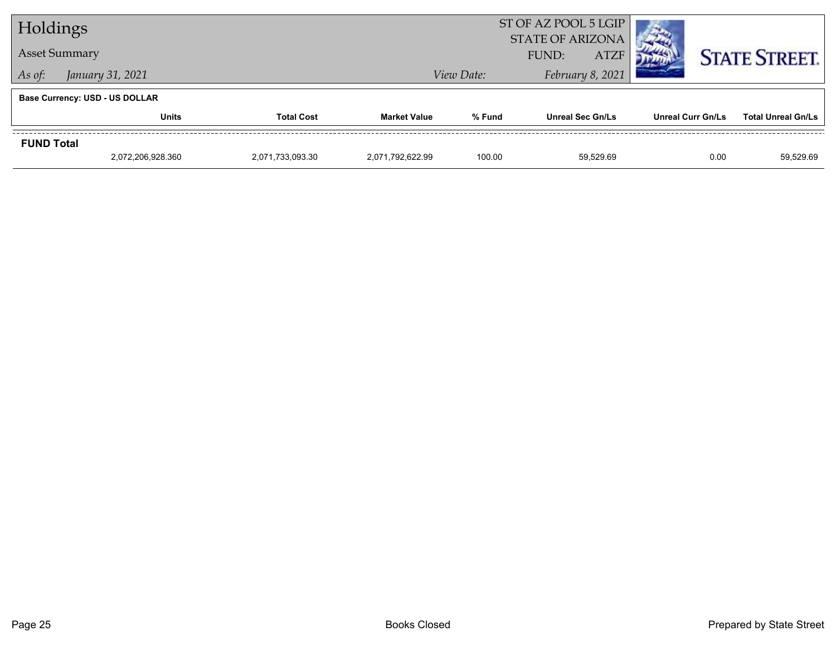| Holdings                              |                      |                   | ST OF AZ POOL 5 LGIP<br><b>STATE OF ARIZONA</b> |                      |                         |                          |                           |  |
|---------------------------------------|----------------------|-------------------|-------------------------------------------------|----------------------|-------------------------|--------------------------|---------------------------|--|
|                                       | <b>Asset Summary</b> |                   |                                                 | FUND:<br><b>ATZF</b> |                         |                          |                           |  |
| As of:                                | January 31, 2021     |                   |                                                 | View Date:           | February 8, 2021        | <b>STATE STREET.</b>     |                           |  |
| <b>Base Currency: USD - US DOLLAR</b> |                      |                   |                                                 |                      |                         |                          |                           |  |
|                                       | <b>Units</b>         | <b>Total Cost</b> | <b>Market Value</b>                             | % Fund               | <b>Unreal Sec Gn/Ls</b> | <b>Unreal Curr Gn/Ls</b> | <b>Total Unreal Gn/Ls</b> |  |
| <b>FUND Total</b>                     |                      |                   |                                                 |                      |                         |                          |                           |  |
|                                       | 2.072.206.928.360    | 2,071,733,093.30  | 2.071.792.622.99                                | 100.00               | 59.529.69               | 0.00                     | 59.529.69                 |  |